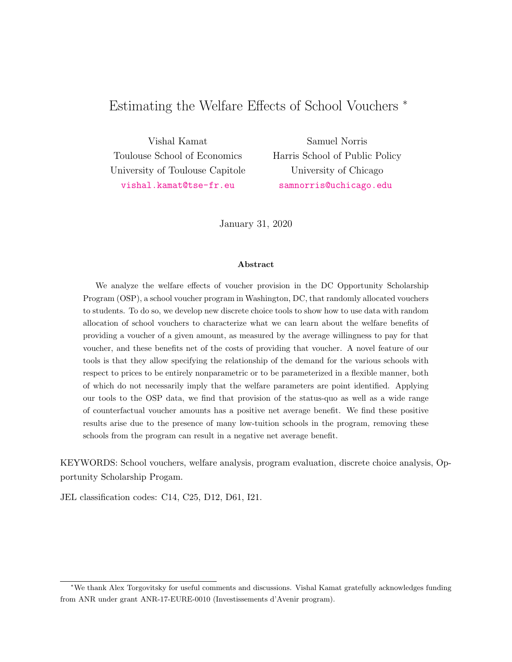# <span id="page-0-0"></span>Estimating the Welfare Effects of School Vouchers <sup>∗</sup>

Vishal Kamat Toulouse School of Economics University of Toulouse Capitole <vishal.kamat@tse-fr.eu>

Samuel Norris Harris School of Public Policy University of Chicago <samnorris@uchicago.edu>

January 31, 2020

#### Abstract

We analyze the welfare effects of voucher provision in the DC Opportunity Scholarship Program (OSP), a school voucher program in Washington, DC, that randomly allocated vouchers to students. To do so, we develop new discrete choice tools to show how to use data with random allocation of school vouchers to characterize what we can learn about the welfare benefits of providing a voucher of a given amount, as measured by the average willingness to pay for that voucher, and these benefits net of the costs of providing that voucher. A novel feature of our tools is that they allow specifying the relationship of the demand for the various schools with respect to prices to be entirely nonparametric or to be parameterized in a flexible manner, both of which do not necessarily imply that the welfare parameters are point identified. Applying our tools to the OSP data, we find that provision of the status-quo as well as a wide range of counterfactual voucher amounts has a positive net average benefit. We find these positive results arise due to the presence of many low-tuition schools in the program, removing these schools from the program can result in a negative net average benefit.

KEYWORDS: School vouchers, welfare analysis, program evaluation, discrete choice analysis, Opportunity Scholarship Progam.

JEL classification codes: C14, C25, D12, D61, I21.

<sup>∗</sup>We thank Alex Torgovitsky for useful comments and discussions. Vishal Kamat gratefully acknowledges funding from ANR under grant ANR-17-EURE-0010 (Investissements d'Avenir program).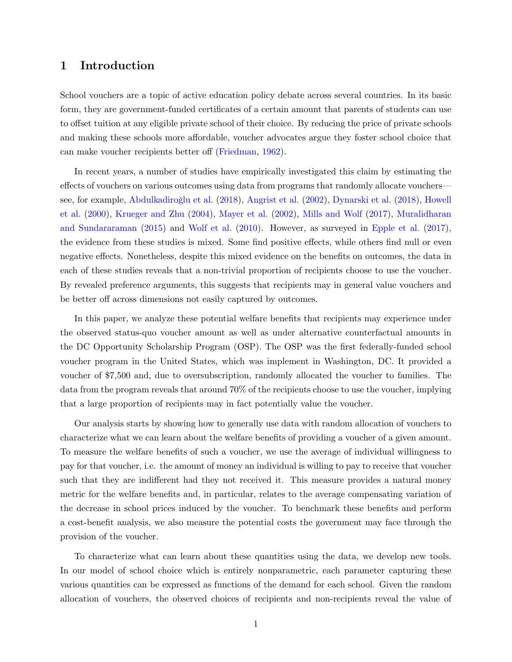## 1 Introduction

School vouchers are a topic of active education policy debate across several countries. In its basic form, they are government-funded certificates of a certain amount that parents of students can use to offset tuition at any eligible private school of their choice. By reducing the price of private schools and making these schools more affordable, voucher advocates argue they foster school choice that can make voucher recipients better off [\(Friedman,](#page-27-0) [1962\)](#page-27-0).

In recent years, a number of studies have empirically investigated this claim by estimating the effects of vouchers on various outcomes using data from programs that randomly allocate vouchers— see, for example, Abdulkadiroğlu et al. [\(2018\)](#page-27-3), [Angrist et al.](#page-27-2) [\(2002\)](#page-27-2), [Dynarski et al.](#page-27-3) (2018), [Howell](#page-27-4) [et al.](#page-27-4) [\(2000\)](#page-27-4), [Krueger and Zhu](#page-27-5) [\(2004\)](#page-27-5), [Mayer et al.](#page-28-0) [\(2002\)](#page-28-0), [Mills and Wolf](#page-28-1) [\(2017\)](#page-28-1), [Muralidharan](#page-28-2) [and Sundararaman](#page-28-2) [\(2015\)](#page-28-2) and [Wolf et al.](#page-28-3) [\(2010\)](#page-28-3). However, as surveyed in [Epple et al.](#page-27-6) [\(2017\)](#page-27-6), the evidence from these studies is mixed. Some find positive effects, while others find null or even negative effects. Nonetheless, despite this mixed evidence on the benefits on outcomes, the data in each of these studies reveals that a non-trivial proportion of recipients choose to use the voucher. By revealed preference arguments, this suggests that recipients may in general value vouchers and be better off across dimensions not easily captured by outcomes.

In this paper, we analyze these potential welfare benefits that recipients may experience under the observed status-quo voucher amount as well as under alternative counterfactual amounts in the DC Opportunity Scholarship Program (OSP). The OSP was the first federally-funded school voucher program in the United States, which was implement in Washington, DC. It provided a voucher of \$7,500 and, due to oversubscription, randomly allocated the voucher to families. The data from the program reveals that around 70% of the recipients choose to use the voucher, implying that a large proportion of recipients may in fact potentially value the voucher.

Our analysis starts by showing how to generally use data with random allocation of vouchers to characterize what we can learn about the welfare benefits of providing a voucher of a given amount. To measure the welfare benefits of such a voucher, we use the average of individual willingness to pay for that voucher, i.e. the amount of money an individual is willing to pay to receive that voucher such that they are indifferent had they not received it. This measure provides a natural money metric for the welfare benefits and, in particular, relates to the average compensating variation of the decrease in school prices induced by the voucher. To benchmark these benefits and perform a cost-benefit analysis, we also measure the potential costs the government may face through the provision of the voucher.

To characterize what can learn about these quantities using the data, we develop new tools. In our model of school choice which is entirely nonparametric, each parameter capturing these various quantities can be expressed as functions of the demand for each school. Given the random allocation of vouchers, the observed choices of recipients and non-recipients reveal the value of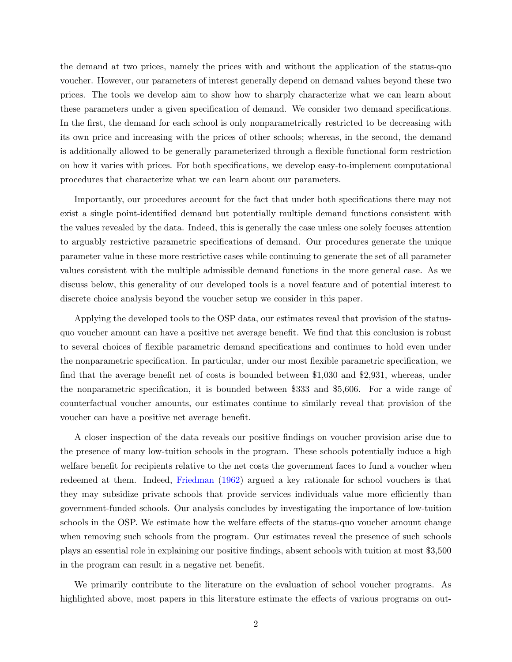the demand at two prices, namely the prices with and without the application of the status-quo voucher. However, our parameters of interest generally depend on demand values beyond these two prices. The tools we develop aim to show how to sharply characterize what we can learn about these parameters under a given specification of demand. We consider two demand specifications. In the first, the demand for each school is only nonparametrically restricted to be decreasing with its own price and increasing with the prices of other schools; whereas, in the second, the demand is additionally allowed to be generally parameterized through a flexible functional form restriction on how it varies with prices. For both specifications, we develop easy-to-implement computational procedures that characterize what we can learn about our parameters.

Importantly, our procedures account for the fact that under both specifications there may not exist a single point-identified demand but potentially multiple demand functions consistent with the values revealed by the data. Indeed, this is generally the case unless one solely focuses attention to arguably restrictive parametric specifications of demand. Our procedures generate the unique parameter value in these more restrictive cases while continuing to generate the set of all parameter values consistent with the multiple admissible demand functions in the more general case. As we discuss below, this generality of our developed tools is a novel feature and of potential interest to discrete choice analysis beyond the voucher setup we consider in this paper.

Applying the developed tools to the OSP data, our estimates reveal that provision of the statusquo voucher amount can have a positive net average benefit. We find that this conclusion is robust to several choices of flexible parametric demand specifications and continues to hold even under the nonparametric specification. In particular, under our most flexible parametric specification, we find that the average benefit net of costs is bounded between \$1,030 and \$2,931, whereas, under the nonparametric specification, it is bounded between \$333 and \$5,606. For a wide range of counterfactual voucher amounts, our estimates continue to similarly reveal that provision of the voucher can have a positive net average benefit.

A closer inspection of the data reveals our positive findings on voucher provision arise due to the presence of many low-tuition schools in the program. These schools potentially induce a high welfare benefit for recipients relative to the net costs the government faces to fund a voucher when redeemed at them. Indeed, [Friedman](#page-27-0) [\(1962\)](#page-27-0) argued a key rationale for school vouchers is that they may subsidize private schools that provide services individuals value more efficiently than government-funded schools. Our analysis concludes by investigating the importance of low-tuition schools in the OSP. We estimate how the welfare effects of the status-quo voucher amount change when removing such schools from the program. Our estimates reveal the presence of such schools plays an essential role in explaining our positive findings, absent schools with tuition at most \$3,500 in the program can result in a negative net benefit.

We primarily contribute to the literature on the evaluation of school voucher programs. As highlighted above, most papers in this literature estimate the effects of various programs on out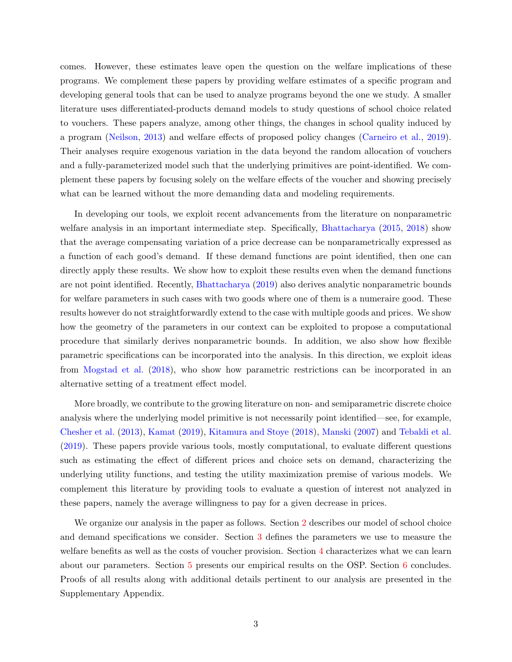comes. However, these estimates leave open the question on the welfare implications of these programs. We complement these papers by providing welfare estimates of a specific program and developing general tools that can be used to analyze programs beyond the one we study. A smaller literature uses differentiated-products demand models to study questions of school choice related to vouchers. These papers analyze, among other things, the changes in school quality induced by a program [\(Neilson,](#page-28-4) [2013\)](#page-28-4) and welfare effects of proposed policy changes [\(Carneiro et al.,](#page-27-7) [2019\)](#page-27-7). Their analyses require exogenous variation in the data beyond the random allocation of vouchers and a fully-parameterized model such that the underlying primitives are point-identified. We complement these papers by focusing solely on the welfare effects of the voucher and showing precisely what can be learned without the more demanding data and modeling requirements.

In developing our tools, we exploit recent advancements from the literature on nonparametric welfare analysis in an important intermediate step. Specifically, [Bhattacharya](#page-27-8) [\(2015,](#page-27-8) [2018\)](#page-27-9) show that the average compensating variation of a price decrease can be nonparametrically expressed as a function of each good's demand. If these demand functions are point identified, then one can directly apply these results. We show how to exploit these results even when the demand functions are not point identified. Recently, [Bhattacharya](#page-27-10) [\(2019\)](#page-27-10) also derives analytic nonparametric bounds for welfare parameters in such cases with two goods where one of them is a numeraire good. These results however do not straightforwardly extend to the case with multiple goods and prices. We show how the geometry of the parameters in our context can be exploited to propose a computational procedure that similarly derives nonparametric bounds. In addition, we also show how flexible parametric specifications can be incorporated into the analysis. In this direction, we exploit ideas from [Mogstad et al.](#page-28-5) [\(2018\)](#page-28-5), who show how parametric restrictions can be incorporated in an alternative setting of a treatment effect model.

More broadly, we contribute to the growing literature on non- and semiparametric discrete choice analysis where the underlying model primitive is not necessarily point identified—see, for example, [Chesher et al.](#page-27-11) [\(2013\)](#page-27-11), [Kamat](#page-27-12) [\(2019\)](#page-27-12), [Kitamura and Stoye](#page-27-13) [\(2018\)](#page-27-13), [Manski](#page-28-6) [\(2007\)](#page-28-6) and [Tebaldi et al.](#page-28-7) [\(2019\)](#page-28-7). These papers provide various tools, mostly computational, to evaluate different questions such as estimating the effect of different prices and choice sets on demand, characterizing the underlying utility functions, and testing the utility maximization premise of various models. We complement this literature by providing tools to evaluate a question of interest not analyzed in these papers, namely the average willingness to pay for a given decrease in prices.

We organize our analysis in the paper as follows. Section [2](#page-4-0) describes our model of school choice and demand specifications we consider. Section [3](#page-7-0) defines the parameters we use to measure the welfare benefits as well as the costs of voucher provision. Section [4](#page-9-0) characterizes what we can learn about our parameters. Section [5](#page-17-0) presents our empirical results on the OSP. Section [6](#page-25-0) concludes. Proofs of all results along with additional details pertinent to our analysis are presented in the Supplementary Appendix.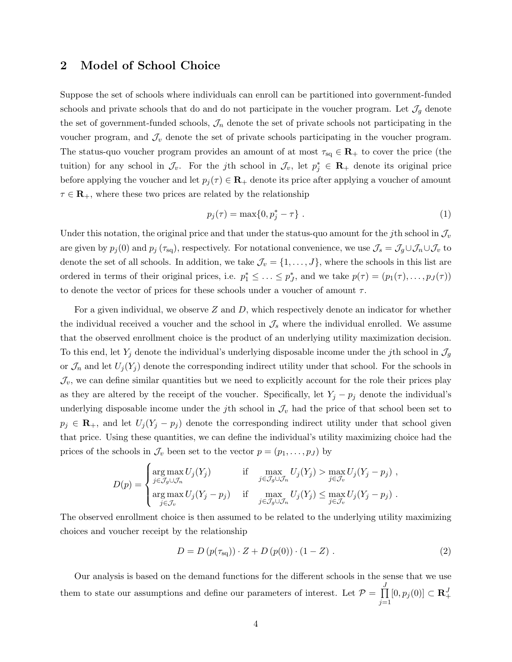### <span id="page-4-0"></span>2 Model of School Choice

Suppose the set of schools where individuals can enroll can be partitioned into government-funded schools and private schools that do and do not participate in the voucher program. Let  $\mathcal{J}_g$  denote the set of government-funded schools,  $\mathcal{J}_n$  denote the set of private schools not participating in the voucher program, and  $\mathcal{J}_v$  denote the set of private schools participating in the voucher program. The status-quo voucher program provides an amount of at most  $\tau_{sq} \in \mathbf{R}_+$  to cover the price (the tuition) for any school in  $\mathcal{J}_v$ . For the jth school in  $\mathcal{J}_v$ , let  $p_j^* \in \mathbf{R}_+$  denote its original price before applying the voucher and let  $p_j(\tau) \in \mathbf{R}_+$  denote its price after applying a voucher of amount  $\tau \in \mathbf{R}_+$ , where these two prices are related by the relationship

$$
p_j(\tau) = \max\{0, p_j^* - \tau\} . \tag{1}
$$

Under this notation, the original price and that under the status-quo amount for the j<sup>th</sup> school in  $\mathcal{J}_v$ are given by  $p_j(0)$  and  $p_j(\tau_{sq})$ , respectively. For notational convenience, we use  $\mathcal{J}_s = \mathcal{J}_g \cup \mathcal{J}_n \cup \mathcal{J}_v$  to denote the set of all schools. In addition, we take  $\mathcal{J}_v = \{1, \ldots, J\}$ , where the schools in this list are ordered in terms of their original prices, i.e.  $p_1^* \leq \ldots \leq p_J^*$ , and we take  $p(\tau) = (p_1(\tau), \ldots, p_J(\tau))$ to denote the vector of prices for these schools under a voucher of amount  $\tau$ .

For a given individual, we observe  $Z$  and  $D$ , which respectively denote an indicator for whether the individual received a voucher and the school in  $\mathcal{J}_s$  where the individual enrolled. We assume that the observed enrollment choice is the product of an underlying utility maximization decision. To this end, let  $Y_j$  denote the individual's underlying disposable income under the jth school in  $\mathcal{J}_g$ or  $\mathcal{J}_n$  and let  $U_j(Y_j)$  denote the corresponding indirect utility under that school. For the schools in  $\mathcal{J}_v$ , we can define similar quantities but we need to explicitly account for the role their prices play as they are altered by the receipt of the voucher. Specifically, let  $Y_j - p_j$  denote the individual's underlying disposable income under the j<sup>th</sup> school in  $\mathcal{J}_v$  had the price of that school been set to  $p_j \in \mathbf{R}_+$ , and let  $U_j(Y_j - p_j)$  denote the corresponding indirect utility under that school given that price. Using these quantities, we can define the individual's utility maximizing choice had the prices of the schools in  $\mathcal{J}_v$  been set to the vector  $p = (p_1, \ldots, p_J)$  by

$$
D(p) = \begin{cases} \arg \max_{j \in \mathcal{J}_g \cup \mathcal{J}_n} U_j(Y_j) & \text{if } \max_{j \in \mathcal{J}_g \cup \mathcal{J}_n} U_j(Y_j) > \max_{j \in \mathcal{J}_v} U_j(Y_j - p_j) ,\\ \arg \max_{j \in \mathcal{J}_v} U_j(Y_j - p_j) & \text{if } \max_{j \in \mathcal{J}_g \cup \mathcal{J}_n} U_j(Y_j) \le \max_{j \in \mathcal{J}_v} U_j(Y_j - p_j) .\end{cases}
$$

The observed enrollment choice is then assumed to be related to the underlying utility maximizing choices and voucher receipt by the relationship

<span id="page-4-1"></span>
$$
D = D (p(\tau_{\text{sq}})) \cdot Z + D (p(0)) \cdot (1 - Z) . \tag{2}
$$

Our analysis is based on the demand functions for the different schools in the sense that we use them to state our assumptions and define our parameters of interest. Let  $P = \prod_{i=1}^{J}$  $\prod_{j=1} [0, p_j(0)] \subset \mathbf{R}^J_+$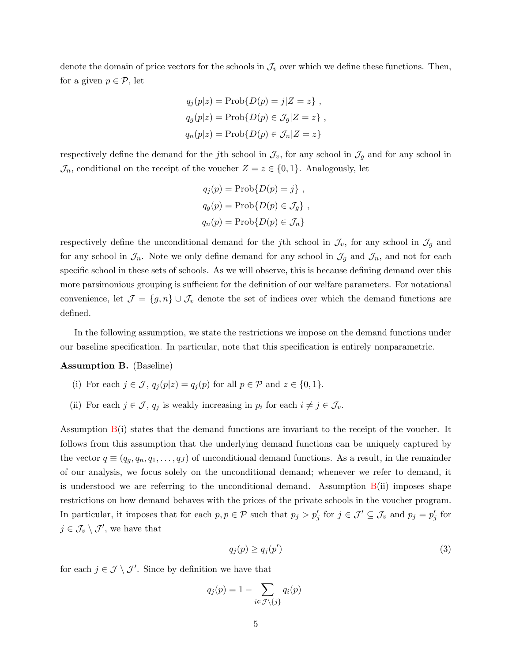denote the domain of price vectors for the schools in  $\mathcal{J}_v$  over which we define these functions. Then, for a given  $p \in \mathcal{P}$ , let

$$
q_j(p|z) = Prob\{D(p) = j|Z = z\},
$$
  
\n
$$
q_g(p|z) = Prob\{D(p) \in \mathcal{J}_g | Z = z\},
$$
  
\n
$$
q_n(p|z) = Prob\{D(p) \in \mathcal{J}_n | Z = z\}
$$

respectively define the demand for the j<sup>th</sup> school in  $\mathcal{J}_v$ , for any school in  $\mathcal{J}_g$  and for any school in  $\mathcal{J}_n$ , conditional on the receipt of the voucher  $Z = z \in \{0, 1\}$ . Analogously, let

$$
q_j(p) = Prob{D(p) = j},
$$
  
\n
$$
q_g(p) = Prob{D(p) \in \mathcal{J}_g},
$$
  
\n
$$
q_n(p) = Prob{D(p) \in \mathcal{J}_n}
$$

respectively define the unconditional demand for the jth school in  $\mathcal{J}_v$ , for any school in  $\mathcal{J}_g$  and for any school in  $\mathcal{J}_n$ . Note we only define demand for any school in  $\mathcal{J}_g$  and  $\mathcal{J}_n$ , and not for each specific school in these sets of schools. As we will observe, this is because defining demand over this more parsimonious grouping is sufficient for the definition of our welfare parameters. For notational convenience, let  $\mathcal{J} = \{g, n\} \cup \mathcal{J}_v$  denote the set of indices over which the demand functions are defined.

In the following assumption, we state the restrictions we impose on the demand functions under our baseline specification. In particular, note that this specification is entirely nonparametric.

<span id="page-5-0"></span>Assumption B. (Baseline)

- (i) For each  $j \in \mathcal{J}$ ,  $q_i(p|z) = q_i(p)$  for all  $p \in \mathcal{P}$  and  $z \in \{0, 1\}$ .
- (ii) For each  $j \in \mathcal{J}$ ,  $q_j$  is weakly increasing in  $p_i$  for each  $i \neq j \in \mathcal{J}_v$ .

Assumption [B\(](#page-5-0)i) states that the demand functions are invariant to the receipt of the voucher. It follows from this assumption that the underlying demand functions can be uniquely captured by the vector  $q \equiv (q_g, q_n, q_1, \ldots, q_J)$  of unconditional demand functions. As a result, in the remainder of our analysis, we focus solely on the unconditional demand; whenever we refer to demand, it is understood we are referring to the unconditional demand. Assumption  $B(ii)$  $B(ii)$  imposes shape restrictions on how demand behaves with the prices of the private schools in the voucher program. In particular, it imposes that for each  $p, p \in \mathcal{P}$  such that  $p_j > p'_j$  for  $j \in \mathcal{J}' \subseteq \mathcal{J}_v$  and  $p_j = p'_j$  for  $j \in \mathcal{J}_v \setminus \mathcal{J}'$ , we have that

<span id="page-5-1"></span>
$$
q_j(p) \ge q_j(p') \tag{3}
$$

for each  $j \in \mathcal{J} \setminus \mathcal{J}'$ . Since by definition we have that

$$
q_j(p) = 1 - \sum_{i \in \mathcal{J} \setminus \{j\}} q_i(p)
$$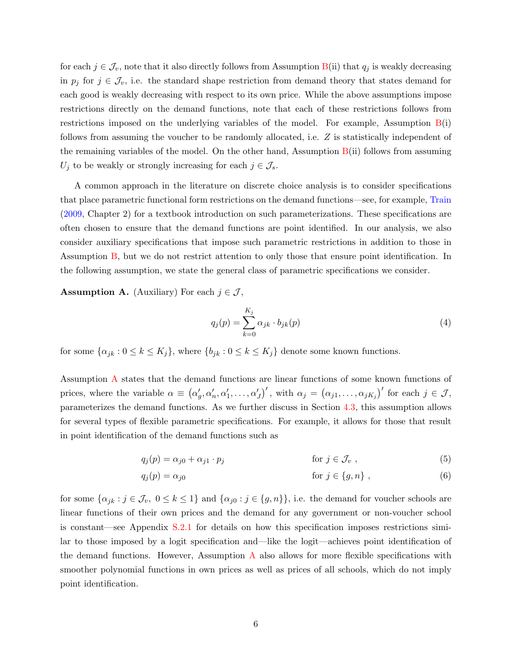for each  $j \in \mathcal{J}_v$ , note that it also directly follows from Assumption [B\(](#page-5-0)ii) that  $q_j$  is weakly decreasing in  $p_j$  for  $j \in \mathcal{J}_v$ , i.e. the standard shape restriction from demand theory that states demand for each good is weakly decreasing with respect to its own price. While the above assumptions impose restrictions directly on the demand functions, note that each of these restrictions follows from restrictions imposed on the underlying variables of the model. For example, Assumption  $B(i)$  $B(i)$ follows from assuming the voucher to be randomly allocated, i.e. Z is statistically independent of the remaining variables of the model. On the other hand, Assumption  $B(i)$  $B(i)$  follows from assuming  $U_j$  to be weakly or strongly increasing for each  $j \in \mathcal{J}_s$ .

A common approach in the literature on discrete choice analysis is to consider specifications that place parametric functional form restrictions on the demand functions—see, for example, [Train](#page-28-8) [\(2009,](#page-28-8) Chapter 2) for a textbook introduction on such parameterizations. These specifications are often chosen to ensure that the demand functions are point identified. In our analysis, we also consider auxiliary specifications that impose such parametric restrictions in addition to those in Assumption [B,](#page-5-0) but we do not restrict attention to only those that ensure point identification. In the following assumption, we state the general class of parametric specifications we consider.

<span id="page-6-0"></span>**Assumption A.** (Auxiliary) For each  $j \in \mathcal{J}$ ,

<span id="page-6-3"></span><span id="page-6-2"></span><span id="page-6-1"></span>
$$
q_j(p) = \sum_{k=0}^{K_j} \alpha_{jk} \cdot b_{jk}(p) \tag{4}
$$

for some  $\{\alpha_{jk} : 0 \le k \le K_j\}$ , where  $\{b_{jk} : 0 \le k \le K_j\}$  denote some known functions.

Assumption [A](#page-6-0) states that the demand functions are linear functions of some known functions of prices, where the variable  $\alpha \equiv (\alpha'_g, \alpha'_n, \alpha'_1, \ldots, \alpha'_J)'$ , with  $\alpha_j = (\alpha_{j1}, \ldots, \alpha_{jK_j})'$  for each  $j \in \mathcal{J}$ , parameterizes the demand functions. As we further discuss in Section [4.3,](#page-15-0) this assumption allows for several types of flexible parametric specifications. For example, it allows for those that result in point identification of the demand functions such as

$$
q_j(p) = \alpha_{j0} + \alpha_{j1} \cdot p_j \qquad \qquad \text{for } j \in \mathcal{J}_v , \qquad (5)
$$

$$
q_j(p) = \alpha_{j0} \qquad \qquad \text{for } j \in \{g, n\} \tag{6}
$$

for some  $\{\alpha_{jk} : j \in \mathcal{J}_v, 0 \leq k \leq 1\}$  and  $\{\alpha_{j0} : j \in \{g, n\}\}\)$ , i.e. the demand for voucher schools are linear functions of their own prices and the demand for any government or non-voucher school is constant—see Appendix [S.2.1](#page-0-0) for details on how this specification imposes restrictions similar to those imposed by a logit specification and—like the logit—achieves point identification of the demand functions. However, [A](#page-6-0)ssumption  $\Lambda$  also allows for more flexible specifications with smoother polynomial functions in own prices as well as prices of all schools, which do not imply point identification.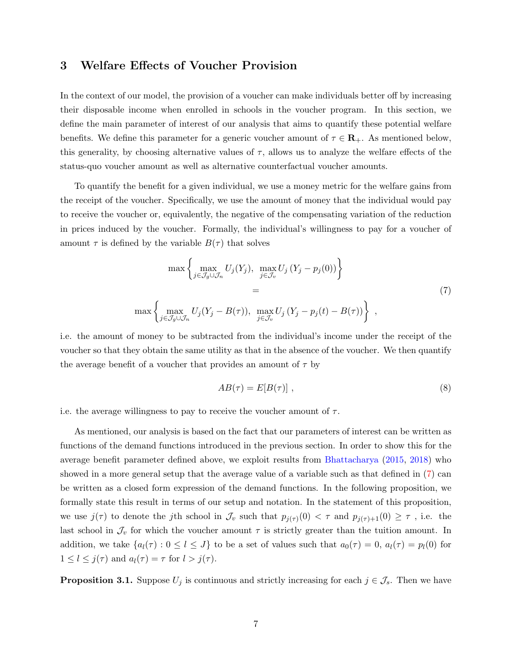### <span id="page-7-0"></span>3 Welfare Effects of Voucher Provision

In the context of our model, the provision of a voucher can make individuals better off by increasing their disposable income when enrolled in schools in the voucher program. In this section, we define the main parameter of interest of our analysis that aims to quantify these potential welfare benefits. We define this parameter for a generic voucher amount of  $\tau \in \mathbb{R}_+$ . As mentioned below, this generality, by choosing alternative values of  $\tau$ , allows us to analyze the welfare effects of the status-quo voucher amount as well as alternative counterfactual voucher amounts.

To quantify the benefit for a given individual, we use a money metric for the welfare gains from the receipt of the voucher. Specifically, we use the amount of money that the individual would pay to receive the voucher or, equivalently, the negative of the compensating variation of the reduction in prices induced by the voucher. Formally, the individual's willingness to pay for a voucher of amount  $\tau$  is defined by the variable  $B(\tau)$  that solves

$$
\max \left\{ \max_{j \in \mathcal{J}_g \cup \mathcal{J}_n} U_j(Y_j), \max_{j \in \mathcal{J}_v} U_j(Y_j - p_j(0)) \right\} \n= \max \left\{ \max_{j \in \mathcal{J}_g \cup \mathcal{J}_n} U_j(Y_j - B(\tau)), \max_{j \in \mathcal{J}_v} U_j(Y_j - p_j(t) - B(\tau)) \right\},
$$
\n(7)

i.e. the amount of money to be subtracted from the individual's income under the receipt of the voucher so that they obtain the same utility as that in the absence of the voucher. We then quantify the average benefit of a voucher that provides an amount of  $\tau$  by

<span id="page-7-2"></span><span id="page-7-1"></span>
$$
AB(\tau) = E[B(\tau)], \qquad (8)
$$

i.e. the average willingness to pay to receive the voucher amount of  $\tau$ .

As mentioned, our analysis is based on the fact that our parameters of interest can be written as functions of the demand functions introduced in the previous section. In order to show this for the average benefit parameter defined above, we exploit results from [Bhattacharya](#page-27-8) [\(2015,](#page-27-8) [2018\)](#page-27-9) who showed in a more general setup that the average value of a variable such as that defined in [\(7\)](#page-7-1) can be written as a closed form expression of the demand functions. In the following proposition, we formally state this result in terms of our setup and notation. In the statement of this proposition, we use  $j(\tau)$  to denote the j<sup>th</sup> school in  $\mathcal{J}_v$  such that  $p_{j(\tau)}(0) < \tau$  and  $p_{j(\tau)+1}(0) \geq \tau$ , i.e. the last school in  $\mathcal{J}_v$  for which the voucher amount  $\tau$  is strictly greater than the tuition amount. In addition, we take  $\{a_l(\tau): 0 \leq l \leq J\}$  to be a set of values such that  $a_0(\tau) = 0$ ,  $a_l(\tau) = p_l(0)$  for  $1 \leq l \leq j(\tau)$  and  $a_l(\tau) = \tau$  for  $l > j(\tau)$ .

**Proposition 3.1.** Suppose  $U_j$  is continuous and strictly increasing for each  $j \in \mathcal{J}_s$ . Then we have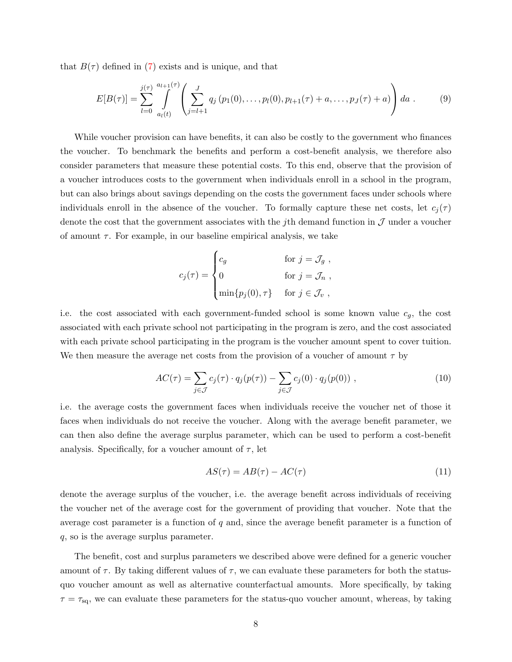that  $B(\tau)$  defined in [\(7\)](#page-7-1) exists and is unique, and that

$$
E[B(\tau)] = \sum_{l=0}^{j(\tau)} \int_{a_l(t)}^{a_{l+1}(\tau)} \left( \sum_{j=l+1}^J q_j(p_1(0), \dots, p_l(0), p_{l+1}(\tau) + a, \dots, p_J(\tau) + a) \right) da . \tag{9}
$$

While voucher provision can have benefits, it can also be costly to the government who finances the voucher. To benchmark the benefits and perform a cost-benefit analysis, we therefore also consider parameters that measure these potential costs. To this end, observe that the provision of a voucher introduces costs to the government when individuals enroll in a school in the program, but can also brings about savings depending on the costs the government faces under schools where individuals enroll in the absence of the voucher. To formally capture these net costs, let  $c_i(\tau)$ denote the cost that the government associates with the jth demand function in  $\mathcal J$  under a voucher of amount  $\tau$ . For example, in our baseline empirical analysis, we take

$$
c_j(\tau) = \begin{cases} c_g & \text{for } j = \mathcal{J}_g, \\ 0 & \text{for } j = \mathcal{J}_n, \\ \min\{p_j(0), \tau\} & \text{for } j \in \mathcal{J}_v, \end{cases}
$$

i.e. the cost associated with each government-funded school is some known value  $c<sub>g</sub>$ , the cost associated with each private school not participating in the program is zero, and the cost associated with each private school participating in the program is the voucher amount spent to cover tuition. We then measure the average net costs from the provision of a voucher of amount  $\tau$  by

$$
AC(\tau) = \sum_{j \in \mathcal{J}} c_j(\tau) \cdot q_j(p(\tau)) - \sum_{j \in \mathcal{J}} c_j(0) \cdot q_j(p(0)), \qquad (10)
$$

i.e. the average costs the government faces when individuals receive the voucher net of those it faces when individuals do not receive the voucher. Along with the average benefit parameter, we can then also define the average surplus parameter, which can be used to perform a cost-benefit analysis. Specifically, for a voucher amount of  $\tau$ , let

<span id="page-8-1"></span><span id="page-8-0"></span>
$$
AS(\tau) = AB(\tau) - AC(\tau) \tag{11}
$$

denote the average surplus of the voucher, i.e. the average benefit across individuals of receiving the voucher net of the average cost for the government of providing that voucher. Note that the average cost parameter is a function of  $q$  and, since the average benefit parameter is a function of q, so is the average surplus parameter.

The benefit, cost and surplus parameters we described above were defined for a generic voucher amount of  $\tau$ . By taking different values of  $\tau$ , we can evaluate these parameters for both the statusquo voucher amount as well as alternative counterfactual amounts. More specifically, by taking  $\tau = \tau_{\text{sq}}$ , we can evaluate these parameters for the status-quo voucher amount, whereas, by taking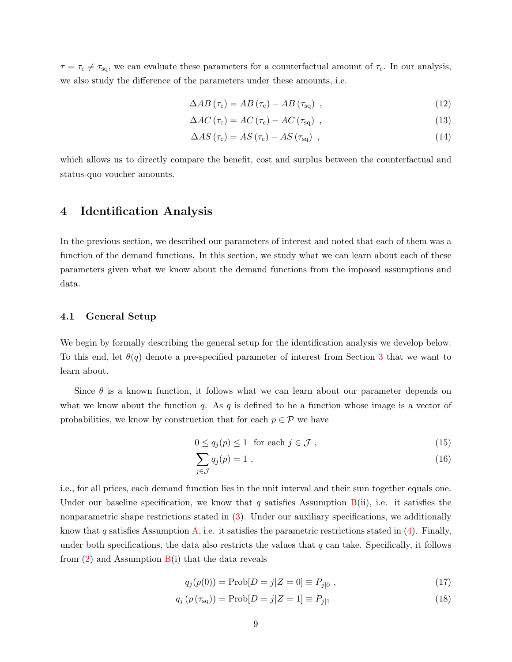$\tau = \tau_c \neq \tau_{\text{sq}}$ , we can evaluate these parameters for a counterfactual amount of  $\tau_c$ . In our analysis, we also study the difference of the parameters under these amounts, i.e.

<span id="page-9-4"></span>
$$
\Delta AB \left( \tau_{\rm c} \right) = AB \left( \tau_{\rm c} \right) - AB \left( \tau_{\rm sq} \right) \tag{12}
$$

<span id="page-9-5"></span>
$$
\Delta AC \left( \tau_{\rm c} \right) = AC \left( \tau_{\rm c} \right) - AC \left( \tau_{\rm sq} \right) \tag{13}
$$

$$
\Delta AS\left(\tau_{\rm c}\right) = AS\left(\tau_{\rm c}\right) - AS\left(\tau_{\rm sq}\right) \tag{14}
$$

which allows us to directly compare the benefit, cost and surplus between the counterfactual and status-quo voucher amounts.

### <span id="page-9-0"></span>4 Identification Analysis

In the previous section, we described our parameters of interest and noted that each of them was a function of the demand functions. In this section, we study what we can learn about each of these parameters given what we know about the demand functions from the imposed assumptions and data.

### 4.1 General Setup

We begin by formally describing the general setup for the identification analysis we develop below. To this end, let  $\theta(q)$  denote a pre-specified parameter of interest from Section [3](#page-7-0) that we want to learn about.

Since  $\theta$  is a known function, it follows what we can learn about our parameter depends on what we know about the function  $q$ . As  $q$  is defined to be a function whose image is a vector of probabilities, we know by construction that for each  $p \in \mathcal{P}$  we have

$$
0 \le q_j(p) \le 1 \quad \text{for each } j \in \mathcal{J},\tag{15}
$$

<span id="page-9-2"></span><span id="page-9-1"></span>
$$
\sum_{j \in \mathcal{J}} q_j(p) = 1 \tag{16}
$$

i.e., for all prices, each demand function lies in the unit interval and their sum together equals one. Under our baseline specification, we know that q satisfies Assumption  $B(ii)$  $B(ii)$ , i.e. it satisfies the nonparametric shape restrictions stated in [\(3\)](#page-5-1). Under our auxiliary specifications, we additionally know that q satisfies Assumption [A,](#page-6-0) i.e. it satisfies the parametric restrictions stated in [\(4\)](#page-6-1). Finally, under both specifications, the data also restricts the values that  $q$  can take. Specifically, it follows from  $(2)$  and Assumption  $B(i)$  $B(i)$  that the data reveals

<span id="page-9-3"></span>
$$
q_j(p(0)) = \text{Prob}[D = j|Z = 0] \equiv P_{j|0} , \qquad (17)
$$

$$
q_j(p(\tau_{sq})) = \text{Prob}[D = j | Z = 1] \equiv P_{j|1}
$$
\n(18)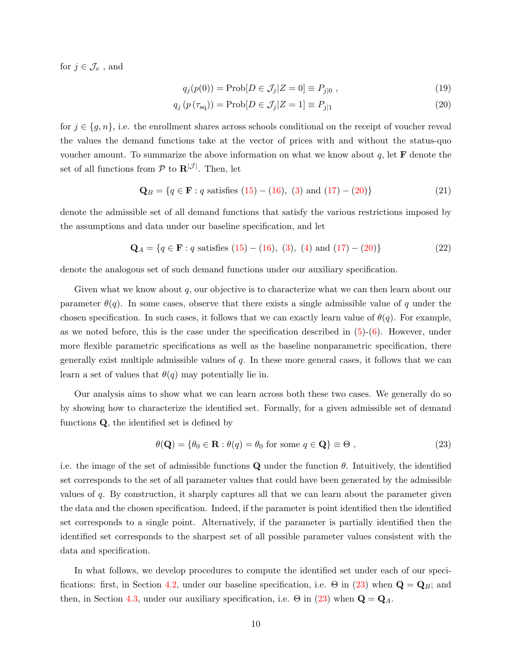for  $j \in \mathcal{J}_v$ , and

<span id="page-10-2"></span><span id="page-10-0"></span>
$$
q_j(p(0)) = \text{Prob}[D \in \mathcal{J}_j | Z = 0] \equiv P_{j|0} , \qquad (19)
$$

$$
q_j(p(\tau_{\text{sq}})) = \text{Prob}[D \in \mathcal{J}_j | Z = 1] \equiv P_{j|1}
$$
\n(20)

for  $j \in \{g, n\}$ , i.e. the enrollment shares across schools conditional on the receipt of voucher reveal the values the demand functions take at the vector of prices with and without the status-quo voucher amount. To summarize the above information on what we know about  $q$ , let **F** denote the set of all functions from  $P$  to  $\mathbf{R}^{|\mathcal{J}|}$ . Then, let

$$
\mathbf{Q}_B = \{ q \in \mathbf{F} : q \text{ satisfies (15)} - (16), (3) \text{ and } (17) - (20) \}
$$
 (21)

denote the admissible set of all demand functions that satisfy the various restrictions imposed by the assumptions and data under our baseline specification, and let

$$
\mathbf{Q}_A = \{q \in \mathbf{F} : q \text{ satisfies (15)} - (16), (3), (4) \text{ and } (17) - (20)\}\
$$
 (22)

denote the analogous set of such demand functions under our auxiliary specification.

Given what we know about  $q$ , our objective is to characterize what we can then learn about our parameter  $\theta(q)$ . In some cases, observe that there exists a single admissible value of q under the chosen specification. In such cases, it follows that we can exactly learn value of  $\theta(q)$ . For example, as we noted before, this is the case under the specification described in  $(5)-(6)$  $(5)-(6)$  $(5)-(6)$ . However, under more flexible parametric specifications as well as the baseline nonparametric specification, there generally exist multiple admissible values of  $q$ . In these more general cases, it follows that we can learn a set of values that  $\theta(q)$  may potentially lie in.

Our analysis aims to show what we can learn across both these two cases. We generally do so by showing how to characterize the identified set. Formally, for a given admissible set of demand functions  $Q$ , the identified set is defined by

<span id="page-10-1"></span>
$$
\theta(\mathbf{Q}) = \{ \theta_0 \in \mathbf{R} : \theta(q) = \theta_0 \text{ for some } q \in \mathbf{Q} \} \equiv \Theta ,
$$
\n(23)

i.e. the image of the set of admissible functions Q under the function  $\theta$ . Intuitively, the identified set corresponds to the set of all parameter values that could have been generated by the admissible values of q. By construction, it sharply captures all that we can learn about the parameter given the data and the chosen specification. Indeed, if the parameter is point identified then the identified set corresponds to a single point. Alternatively, if the parameter is partially identified then the identified set corresponds to the sharpest set of all possible parameter values consistent with the data and specification.

In what follows, we develop procedures to compute the identified set under each of our speci-fications: first, in Section [4.2,](#page-11-0) under our baseline specification, i.e.  $\Theta$  in [\(23\)](#page-10-1) when  $\mathbf{Q} = \mathbf{Q}_B$ ; and then, in Section [4.3,](#page-15-0) under our auxiliary specification, i.e.  $\Theta$  in [\(23\)](#page-10-1) when  $\mathbf{Q} = \mathbf{Q}_A$ .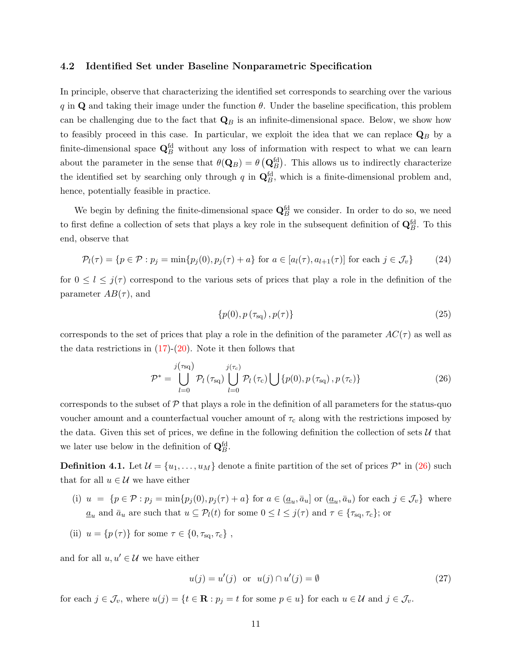### <span id="page-11-0"></span>4.2 Identified Set under Baseline Nonparametric Specification

In principle, observe that characterizing the identified set corresponds to searching over the various q in Q and taking their image under the function  $\theta$ . Under the baseline specification, this problem can be challenging due to the fact that  $\mathbf{Q}_B$  is an infinite-dimensional space. Below, we show how to feasibly proceed in this case. In particular, we exploit the idea that we can replace  $\mathbf{Q}_B$  by a finite-dimensional space  $\mathbf{Q}_{B}^{\text{fd}}$  without any loss of information with respect to what we can learn about the parameter in the sense that  $\theta(\mathbf{Q}_B) = \theta\left(\mathbf{Q}_B^{\text{fd}}\right)$ . This allows us to indirectly characterize the identified set by searching only through q in  $\mathbf{Q}_{B}^{\text{fd}}$ , which is a finite-dimensional problem and, hence, potentially feasible in practice.

We begin by defining the finite-dimensional space  $\mathbf{Q}_{B}^{\text{fd}}$  we consider. In order to do so, we need to first define a collection of sets that plays a key role in the subsequent definition of  $\mathbf{Q}_{B}^{\text{fd}}$ . To this end, observe that

$$
\mathcal{P}_l(\tau) = \{ p \in \mathcal{P} : p_j = \min\{p_j(0), p_j(\tau) + a\} \text{ for } a \in [a_l(\tau), a_{l+1}(\tau)] \text{ for each } j \in \mathcal{J}_v \} \tag{24}
$$

for  $0 \leq l \leq j(\tau)$  correspond to the various sets of prices that play a role in the definition of the parameter  $AB(\tau)$ , and

<span id="page-11-4"></span><span id="page-11-3"></span><span id="page-11-1"></span>
$$
\{p(0), p\left(\tau_{\text{sq}}\right), p(\tau)\}\tag{25}
$$

corresponds to the set of prices that play a role in the definition of the parameter  $AC(\tau)$  as well as the data restrictions in  $(17)-(20)$  $(17)-(20)$  $(17)-(20)$ . Note it then follows that

$$
\mathcal{P}^* = \bigcup_{l=0}^{j(\tau_{\text{sq}})} \mathcal{P}_l(\tau_{\text{sq}}) \bigcup_{l=0}^{j(\tau_c)} \mathcal{P}_l(\tau_c) \bigcup \{p(0), p(\tau_{\text{sq}}), p(\tau_c)\}\tag{26}
$$

corresponds to the subset of  $P$  that plays a role in the definition of all parameters for the status-quo voucher amount and a counterfactual voucher amount of  $\tau_c$  along with the restrictions imposed by the data. Given this set of prices, we define in the following definition the collection of sets  $\mathcal{U}$  that we later use below in the definition of  $\mathbf{Q}_{B}^{\text{fd}}$ .

<span id="page-11-2"></span>**Definition 4.1.** Let  $\mathcal{U} = \{u_1, \ldots, u_M\}$  denote a finite partition of the set of prices  $\mathcal{P}^*$  in [\(26\)](#page-11-1) such that for all  $u \in \mathcal{U}$  we have either

- (i)  $u = \{p \in \mathcal{P} : p_j = \min\{p_j(0), p_j(\tau) + a\} \text{ for } a \in (\underline{a}_u, \overline{a}_u] \text{ or } (\underline{a}_u, \overline{a}_u) \text{ for each } j \in \mathcal{J}_v\} \text{ where }$  $\underline{a}_u$  and  $\overline{a}_u$  are such that  $u \subseteq \mathcal{P}_l(t)$  for some  $0 \leq l \leq j(\tau)$  and  $\tau \in {\tau_{\text{sq}}}, {\tau_{\text{c}}};$  or
- (ii)  $u = \{p(\tau)\}\$ for some  $\tau \in \{0, \tau_{\text{sq}}, \tau_{\text{c}}\}\,$ ,

and for all  $u, u' \in \mathcal{U}$  we have either

<span id="page-11-5"></span>
$$
u(j) = u'(j) \quad \text{or} \quad u(j) \cap u'(j) = \emptyset \tag{27}
$$

for each  $j \in \mathcal{J}_v$ , where  $u(j) = \{t \in \mathbf{R} : p_j = t \text{ for some } p \in u\}$  for each  $u \in \mathcal{U}$  and  $j \in \mathcal{J}_v$ .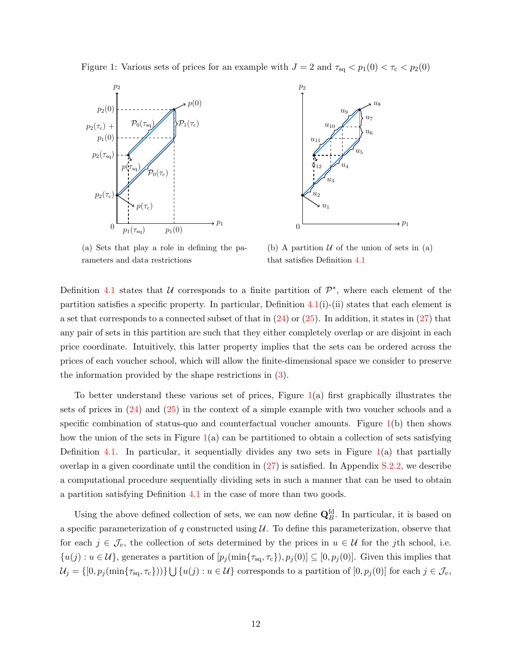<span id="page-12-0"></span>Figure 1: Various sets of prices for an example with  $J = 2$  and  $\tau_{\text{sq}} < p_1(0) < \tau_{\text{c}} < p_2(0)$ 





(a) Sets that play a role in defining the parameters and data restrictions

(b) A partition  $U$  of the union of sets in (a) that satisfies Definition [4.1](#page-11-2)

Definition [4.1](#page-11-2) states that  $U$  corresponds to a finite partition of  $\mathcal{P}^*$ , where each element of the partition satisfies a specific property. In particular, Definition  $4.1(i)-(ii)$  $4.1(i)-(ii)$  states that each element is a set that corresponds to a connected subset of that in  $(24)$  or  $(25)$ . In addition, it states in  $(27)$  that any pair of sets in this partition are such that they either completely overlap or are disjoint in each price coordinate. Intuitively, this latter property implies that the sets can be ordered across the prices of each voucher school, which will allow the finite-dimensional space we consider to preserve the information provided by the shape restrictions in [\(3\)](#page-5-1).

To better understand these various set of prices, Figure [1\(](#page-12-0)a) first graphically illustrates the sets of prices in [\(24\)](#page-11-3) and [\(25\)](#page-11-4) in the context of a simple example with two voucher schools and a specific combination of status-quo and counterfactual voucher amounts. Figure  $1(b)$  $1(b)$  then shows how the union of the sets in Figure  $1(a)$  $1(a)$  can be partitioned to obtain a collection of sets satisfying Definition [4.1.](#page-11-2) In particular, it sequentially divides any two sets in Figure  $1(a)$  $1(a)$  that partially overlap in a given coordinate until the condition in [\(27\)](#page-11-5) is satisfied. In Appendix [S.2.2,](#page-0-0) we describe a computational procedure sequentially dividing sets in such a manner that can be used to obtain a partition satisfying Definition [4.1](#page-11-2) in the case of more than two goods.

Using the above defined collection of sets, we can now define  $\mathbf{Q}_{B}^{\text{fd}}$ . In particular, it is based on a specific parameterization of q constructed using  $\mathcal U$ . To define this parameterization, observe that for each  $j \in \mathcal{J}_v$ , the collection of sets determined by the prices in  $u \in \mathcal{U}$  for the jth school, i.e.  ${u(j) : u \in \mathcal{U}}$ , generates a partition of  $[p_j(\min\{\tau_{sq}, \tau_{c}\}), p_j(0)] \subseteq [0, p_j(0)]$ . Given this implies that  $\mathcal{U}_j = \{ [0, p_j(\min\{\tau_{\text{sq}}, \tau_{\text{c}}\}) ) \} \bigcup \{ u(j) : u \in \mathcal{U} \}$  corresponds to a partition of  $[0, p_j(0)]$  for each  $j \in \mathcal{J}_v$ ,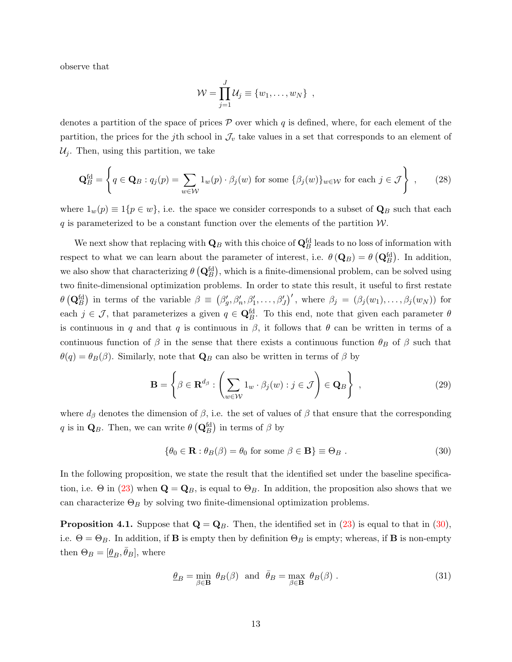observe that

$$
\mathcal{W} = \prod_{j=1}^J \mathcal{U}_j \equiv \{w_1, \ldots, w_N\} ,
$$

denotes a partition of the space of prices  $\mathcal P$  over which q is defined, where, for each element of the partition, the prices for the j<sup>th</sup> school in  $\mathcal{J}_v$  take values in a set that corresponds to an element of  $\mathcal{U}_j$ . Then, using this partition, we take

$$
\mathbf{Q}_{B}^{\text{fd}} = \left\{ q \in \mathbf{Q}_{B} : q_{j}(p) = \sum_{w \in \mathcal{W}} 1_{w}(p) \cdot \beta_{j}(w) \text{ for some } \{\beta_{j}(w)\}_{w \in \mathcal{W}} \text{ for each } j \in \mathcal{J} \right\},\qquad(28)
$$

where  $1_w(p) \equiv 1\{p \in w\}$ , i.e. the space we consider corresponds to a subset of  $\mathbf{Q}_B$  such that each  $q$  is parameterized to be a constant function over the elements of the partition  $W$ .

We next show that replacing with  $\mathbf{Q}_B$  with this choice of  $\mathbf{Q}^{\text{fd}}_B$  leads to no loss of information with respect to what we can learn about the parameter of interest, i.e.  $\theta(\mathbf{Q}_B) = \theta(\mathbf{Q}_B^{\text{fd}})$ . In addition, we also show that characterizing  $\theta (\mathbf{Q}^{\text{fd}}_B)$ , which is a finite-dimensional problem, can be solved using two finite-dimensional optimization problems. In order to state this result, it useful to first restate  $\theta\left(\mathbf{Q}_{B}^{\text{fd}}\right)$  in terms of the variable  $\beta \equiv (\beta'_{g}, \beta'_{n}, \beta'_{1}, \ldots, \beta'_{J})'$ , where  $\beta_{j} = (\beta_{j}(w_{1}), \ldots, \beta_{j}(w_{N}))$  for each  $j \in \mathcal{J}$ , that parameterizes a given  $q \in \mathbf{Q}_{B}^{\text{fd}}$ . To this end, note that given each parameter  $\theta$ is continuous in q and that q is continuous in  $\beta$ , it follows that  $\theta$  can be written in terms of a continuous function of  $\beta$  in the sense that there exists a continuous function  $\theta_B$  of  $\beta$  such that  $\theta(q) = \theta_B(\beta)$ . Similarly, note that  $\mathbf{Q}_B$  can also be written in terms of  $\beta$  by

$$
\mathbf{B} = \left\{ \beta \in \mathbf{R}^{d_{\beta}} : \left( \sum_{w \in \mathcal{W}} 1_w \cdot \beta_j(w) : j \in \mathcal{J} \right) \in \mathbf{Q}_B \right\},\tag{29}
$$

where  $d_{\beta}$  denotes the dimension of  $\beta$ , i.e. the set of values of  $\beta$  that ensure that the corresponding q is in  $\mathbf{Q}_B$ . Then, we can write  $\theta\left(\mathbf{Q}^{\text{fd}}_B\right)$  in terms of  $\beta$  by

<span id="page-13-0"></span>
$$
\{\theta_0 \in \mathbf{R} : \theta_B(\beta) = \theta_0 \text{ for some } \beta \in \mathbf{B}\} \equiv \Theta_B . \tag{30}
$$

In the following proposition, we state the result that the identified set under the baseline specification, i.e.  $\Theta$  in [\(23\)](#page-10-1) when  $\mathbf{Q} = \mathbf{Q}_B$ , is equal to  $\Theta_B$ . In addition, the proposition also shows that we can characterize  $\Theta_B$  by solving two finite-dimensional optimization problems.

<span id="page-13-1"></span>**Proposition 4.1.** Suppose that  $\mathbf{Q} = \mathbf{Q}_B$ . Then, the identified set in [\(23\)](#page-10-1) is equal to that in [\(30\)](#page-13-0), i.e.  $\Theta = \Theta_B$ . In addition, if **B** is empty then by definition  $\Theta_B$  is empty; whereas, if **B** is non-empty then  $\Theta_B = [\underline{\theta}_B, \overline{\theta}_B]$ , where

<span id="page-13-2"></span>
$$
\underline{\theta}_B = \min_{\beta \in \mathbf{B}} \theta_B(\beta) \text{ and } \overline{\theta}_B = \max_{\beta \in \mathbf{B}} \theta_B(\beta). \tag{31}
$$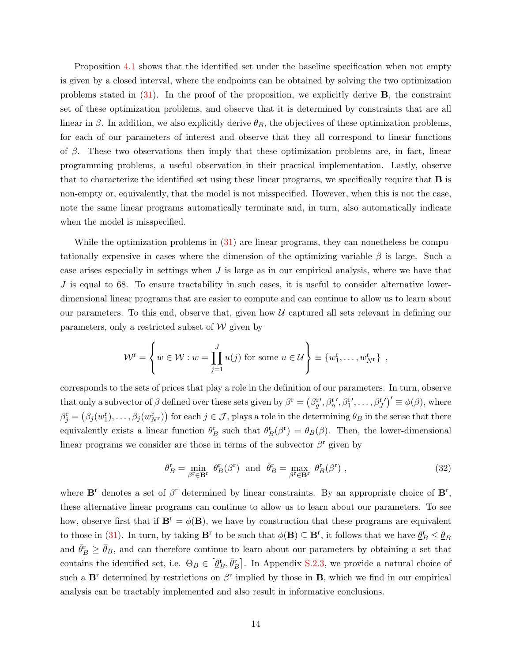Proposition [4.1](#page-13-1) shows that the identified set under the baseline specification when not empty is given by a closed interval, where the endpoints can be obtained by solving the two optimization problems stated in  $(31)$ . In the proof of the proposition, we explicitly derive **B**, the constraint set of these optimization problems, and observe that it is determined by constraints that are all linear in  $\beta$ . In addition, we also explicitly derive  $\theta_B$ , the objectives of these optimization problems, for each of our parameters of interest and observe that they all correspond to linear functions of  $\beta$ . These two observations then imply that these optimization problems are, in fact, linear programming problems, a useful observation in their practical implementation. Lastly, observe that to characterize the identified set using these linear programs, we specifically require that B is non-empty or, equivalently, that the model is not misspecified. However, when this is not the case, note the same linear programs automatically terminate and, in turn, also automatically indicate when the model is misspecified.

While the optimization problems in  $(31)$  are linear programs, they can nonetheless be computationally expensive in cases where the dimension of the optimizing variable  $\beta$  is large. Such a case arises especially in settings when  $J$  is large as in our empirical analysis, where we have that  $J$  is equal to 68. To ensure tractability in such cases, it is useful to consider alternative lowerdimensional linear programs that are easier to compute and can continue to allow us to learn about our parameters. To this end, observe that, given how  $U$  captured all sets relevant in defining our parameters, only a restricted subset of  $W$  given by

$$
\mathcal{W}^{\mathrm{r}} = \left\{ w \in \mathcal{W} : w = \prod_{j=1}^{J} u(j) \text{ for some } u \in \mathcal{U} \right\} \equiv \left\{ w_{1}^{\mathrm{r}}, \ldots, w_{N^{\mathrm{r}}}^{\mathrm{r}} \right\},\,
$$

corresponds to the sets of prices that play a role in the definition of our parameters. In turn, observe that only a subvector of  $\beta$  defined over these sets given by  $\beta^r = (\beta^r_g', \beta^r_n', \beta^r_1', \dots, \beta^r_g')' \equiv \phi(\beta)$ , where  $\beta_j^{\rm r}=\left(\beta_j(w_1^{\rm r}),\ldots,\beta_j(w_{N^{\rm r}}^{\rm r})\right)$  for each  $j\in\mathcal{J}$ , plays a role in the determining  $\theta_B$  in the sense that there equivalently exists a linear function  $\theta_B^r$  such that  $\theta_B^r(\beta^r) = \theta_B(\beta)$ . Then, the lower-dimensional linear programs we consider are those in terms of the subvector  $\beta^r$  given by

<span id="page-14-0"></span>
$$
\underline{\theta}_{B}^{\mathbf{r}} = \min_{\beta^{\mathbf{r}} \in \mathbf{B}^{\mathbf{r}}} \theta_{B}^{\mathbf{r}}(\beta^{\mathbf{r}}) \text{ and } \overline{\theta}_{B}^{\mathbf{r}} = \max_{\beta^{\mathbf{r}} \in \mathbf{B}^{\mathbf{r}}} \theta_{B}^{\mathbf{r}}(\beta^{\mathbf{r}}) ,
$$
 (32)

where  $\mathbf{B}^{\text{r}}$  denotes a set of  $\beta^{\text{r}}$  determined by linear constraints. By an appropriate choice of  $\mathbf{B}^{\text{r}}$ , these alternative linear programs can continue to allow us to learn about our parameters. To see how, observe first that if  $\mathbf{B}^r = \phi(\mathbf{B})$ , we have by construction that these programs are equivalent to those in [\(31\)](#page-13-2). In turn, by taking  $\mathbf{B}^{\text{r}}$  to be such that  $\phi(\mathbf{B}) \subseteq \mathbf{B}^{\text{r}}$ , it follows that we have  $\underline{\theta}_B^{\text{r}} \le \underline{\theta}_B$ and  $\bar{\theta}_B^{\rm r} \ge \bar{\theta}_B$ , and can therefore continue to learn about our parameters by obtaining a set that contains the identified set, i.e.  $\Theta_B \in [\underline{\theta_B^r}, \overline{\theta_B^r}]$ . In Appendix [S.2.3,](#page-0-0) we provide a natural choice of such a  $\mathbf{B}^{\text{r}}$  determined by restrictions on  $\beta^{\text{r}}$  implied by those in **B**, which we find in our empirical analysis can be tractably implemented and also result in informative conclusions.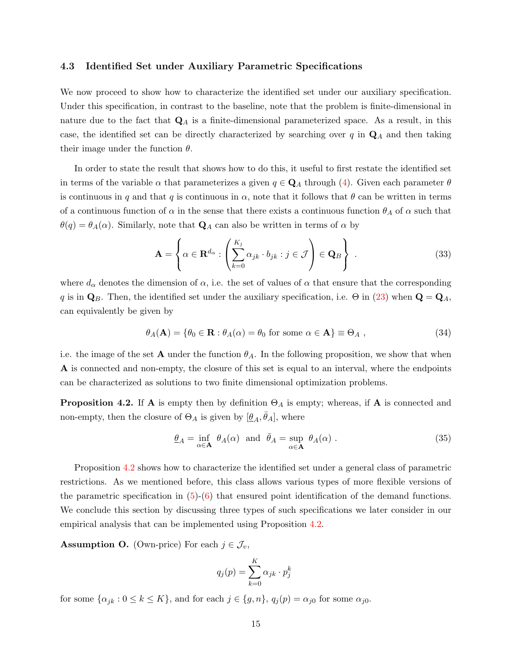### <span id="page-15-0"></span>4.3 Identified Set under Auxiliary Parametric Specifications

We now proceed to show how to characterize the identified set under our auxiliary specification. Under this specification, in contrast to the baseline, note that the problem is finite-dimensional in nature due to the fact that  $\mathbf{Q}_A$  is a finite-dimensional parameterized space. As a result, in this case, the identified set can be directly characterized by searching over  $q$  in  $\mathbf{Q}_A$  and then taking their image under the function  $\theta$ .

In order to state the result that shows how to do this, it useful to first restate the identified set in terms of the variable  $\alpha$  that parameterizes a given  $q \in \mathbf{Q}_A$  through [\(4\)](#page-6-1). Given each parameter  $\theta$ is continuous in q and that q is continuous in  $\alpha$ , note that it follows that  $\theta$  can be written in terms of a continuous function of  $\alpha$  in the sense that there exists a continuous function  $\theta_A$  of  $\alpha$  such that  $\theta(q) = \theta_A(\alpha)$ . Similarly, note that  $\mathbf{Q}_A$  can also be written in terms of  $\alpha$  by

$$
\mathbf{A} = \left\{ \alpha \in \mathbf{R}^{d_{\alpha}} : \left( \sum_{k=0}^{K_j} \alpha_{jk} \cdot b_{jk} : j \in \mathcal{J} \right) \in \mathbf{Q}_B \right\} .
$$
 (33)

where  $d_{\alpha}$  denotes the dimension of  $\alpha$ , i.e. the set of values of  $\alpha$  that ensure that the corresponding q is in  $\mathbf{Q}_B$ . Then, the identified set under the auxiliary specification, i.e.  $\Theta$  in [\(23\)](#page-10-1) when  $\mathbf{Q} = \mathbf{Q}_A$ , can equivalently be given by

$$
\theta_A(\mathbf{A}) = \{ \theta_0 \in \mathbf{R} : \theta_A(\alpha) = \theta_0 \text{ for some } \alpha \in \mathbf{A} \} \equiv \Theta_A , \qquad (34)
$$

i.e. the image of the set **A** under the function  $\theta_A$ . In the following proposition, we show that when A is connected and non-empty, the closure of this set is equal to an interval, where the endpoints can be characterized as solutions to two finite dimensional optimization problems.

<span id="page-15-1"></span>**Proposition 4.2.** If **A** is empty then by definition  $\Theta_A$  is empty; whereas, if **A** is connected and non-empty, then the closure of  $\Theta_A$  is given by  $[\underline{\theta}_A, \overline{\theta}_A]$ , where

$$
\underline{\theta}_A = \inf_{\alpha \in \mathbf{A}} \ \theta_A(\alpha) \ \text{ and } \ \overline{\theta}_A = \sup_{\alpha \in \mathbf{A}} \ \theta_A(\alpha) \ . \tag{35}
$$

Proposition [4.2](#page-15-1) shows how to characterize the identified set under a general class of parametric restrictions. As we mentioned before, this class allows various types of more flexible versions of the parametric specification in  $(5)-(6)$  $(5)-(6)$  $(5)-(6)$  that ensured point identification of the demand functions. We conclude this section by discussing three types of such specifications we later consider in our empirical analysis that can be implemented using Proposition [4.2.](#page-15-1)

<span id="page-15-2"></span>**Assumption O.** (Own-price) For each  $j \in \mathcal{J}_v$ ,

<span id="page-15-4"></span>
$$
q_j(p) = \sum_{k=0}^{K} \alpha_{jk} \cdot p_j^k
$$

<span id="page-15-3"></span>for some  $\{\alpha_{jk} : 0 \le k \le K\}$ , and for each  $j \in \{g, n\}$ ,  $q_j(p) = \alpha_{j0}$  for some  $\alpha_{j0}$ .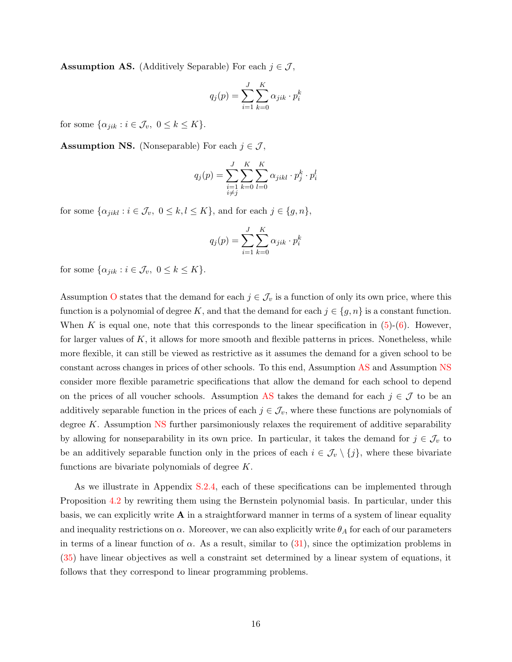**Assumption AS.** (Additively Separable) For each  $j \in \mathcal{J}$ ,

$$
q_j(p) = \sum_{i=1}^J \sum_{k=0}^K \alpha_{jik} \cdot p_i^k
$$

for some  $\{\alpha_{jik} : i \in \mathcal{J}_v, 0 \leq k \leq K\}.$ 

<span id="page-16-0"></span>**Assumption NS.** (Nonseparable) For each  $j \in \mathcal{J}$ ,

$$
q_j(p) = \sum_{\substack{i=1 \ i \neq j}}^J \sum_{k=0}^K \sum_{l=0}^K \alpha_{jikl} \cdot p_j^k \cdot p_i^l
$$

for some  $\{\alpha_{jikl} : i \in \mathcal{J}_v, 0 \le k, l \le K\}$ , and for each  $j \in \{g, n\}$ ,

$$
q_j(p) = \sum_{i=1}^{J} \sum_{k=0}^{K} \alpha_{jik} \cdot p_i^k
$$

for some  $\{\alpha_{jik} : i \in \mathcal{J}_v, 0 \leq k \leq K\}.$ 

Assumption [O](#page-15-2) states that the demand for each  $j \in \mathcal{J}_v$  is a function of only its own price, where this function is a polynomial of degree K, and that the demand for each  $j \in \{g, n\}$  is a constant function. When K is equal one, note that this corresponds to the linear specification in  $(5)-(6)$  $(5)-(6)$  $(5)-(6)$ . However, for larger values of  $K$ , it allows for more smooth and flexible patterns in prices. Nonetheless, while more flexible, it can still be viewed as restrictive as it assumes the demand for a given school to be constant across changes in prices of other schools. To this end, Assumption [AS](#page-15-3) and Assumption [NS](#page-16-0) consider more flexible parametric specifications that allow the demand for each school to depend on the prices of all voucher schools. Assumption [AS](#page-15-3) takes the demand for each  $j \in \mathcal{J}$  to be an additively separable function in the prices of each  $j \in \mathcal{J}_v$ , where these functions are polynomials of degree K. Assumption  $\overline{\text{NS}}$  $\overline{\text{NS}}$  $\overline{\text{NS}}$  further parsimoniously relaxes the requirement of additive separability by allowing for nonseparability in its own price. In particular, it takes the demand for  $j \in \mathcal{J}_v$  to be an additively separable function only in the prices of each  $i \in \mathcal{J}_v \setminus \{j\}$ , where these bivariate functions are bivariate polynomials of degree K.

As we illustrate in Appendix [S.2.4,](#page-0-0) each of these specifications can be implemented through Proposition [4.2](#page-15-1) by rewriting them using the Bernstein polynomial basis. In particular, under this basis, we can explicitly write  $A$  in a straightforward manner in terms of a system of linear equality and inequality restrictions on  $\alpha$ . Moreover, we can also explicitly write  $\theta_A$  for each of our parameters in terms of a linear function of  $\alpha$ . As a result, similar to [\(31\)](#page-13-2), since the optimization problems in [\(35\)](#page-15-4) have linear objectives as well a constraint set determined by a linear system of equations, it follows that they correspond to linear programming problems.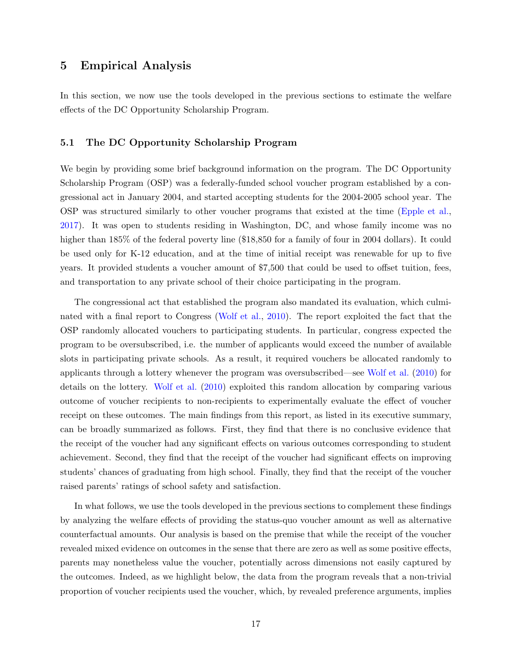### <span id="page-17-0"></span>5 Empirical Analysis

In this section, we now use the tools developed in the previous sections to estimate the welfare effects of the DC Opportunity Scholarship Program.

### 5.1 The DC Opportunity Scholarship Program

We begin by providing some brief background information on the program. The DC Opportunity Scholarship Program (OSP) was a federally-funded school voucher program established by a congressional act in January 2004, and started accepting students for the 2004-2005 school year. The OSP was structured similarly to other voucher programs that existed at the time [\(Epple et al.,](#page-27-6) [2017\)](#page-27-6). It was open to students residing in Washington, DC, and whose family income was no higher than 185% of the federal poverty line (\$18,850 for a family of four in 2004 dollars). It could be used only for K-12 education, and at the time of initial receipt was renewable for up to five years. It provided students a voucher amount of \$7,500 that could be used to offset tuition, fees, and transportation to any private school of their choice participating in the program.

The congressional act that established the program also mandated its evaluation, which culminated with a final report to Congress [\(Wolf et al.,](#page-28-3) [2010\)](#page-28-3). The report exploited the fact that the OSP randomly allocated vouchers to participating students. In particular, congress expected the program to be oversubscribed, i.e. the number of applicants would exceed the number of available slots in participating private schools. As a result, it required vouchers be allocated randomly to applicants through a lottery whenever the program was oversubscribed—see [Wolf et al.](#page-28-3) [\(2010\)](#page-28-3) for details on the lottery. [Wolf et al.](#page-28-3) [\(2010\)](#page-28-3) exploited this random allocation by comparing various outcome of voucher recipients to non-recipients to experimentally evaluate the effect of voucher receipt on these outcomes. The main findings from this report, as listed in its executive summary, can be broadly summarized as follows. First, they find that there is no conclusive evidence that the receipt of the voucher had any significant effects on various outcomes corresponding to student achievement. Second, they find that the receipt of the voucher had significant effects on improving students' chances of graduating from high school. Finally, they find that the receipt of the voucher raised parents' ratings of school safety and satisfaction.

In what follows, we use the tools developed in the previous sections to complement these findings by analyzing the welfare effects of providing the status-quo voucher amount as well as alternative counterfactual amounts. Our analysis is based on the premise that while the receipt of the voucher revealed mixed evidence on outcomes in the sense that there are zero as well as some positive effects, parents may nonetheless value the voucher, potentially across dimensions not easily captured by the outcomes. Indeed, as we highlight below, the data from the program reveals that a non-trivial proportion of voucher recipients used the voucher, which, by revealed preference arguments, implies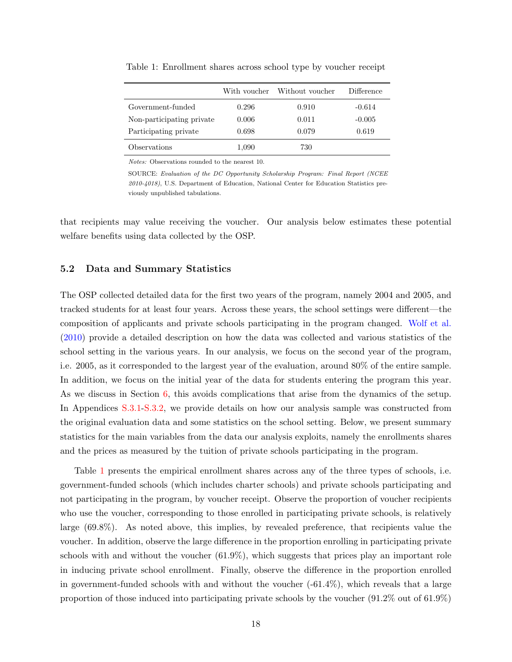|                           | With voucher | Without voucher | Difference |
|---------------------------|--------------|-----------------|------------|
| Government-funded         | 0.296        | 0.910           | $-0.614$   |
| Non-participating private | 0.006        | 0.011           | $-0.005$   |
| Participating private     | 0.698        | 0.079           | 0.619      |
| Observations              | 1,090        | 730             |            |

<span id="page-18-0"></span>Table 1: Enrollment shares across school type by voucher receipt

Notes: Observations rounded to the nearest 10.

SOURCE: Evaluation of the DC Opportunity Scholarship Program: Final Report (NCEE 2010-4018), U.S. Department of Education, National Center for Education Statistics previously unpublished tabulations.

that recipients may value receiving the voucher. Our analysis below estimates these potential welfare benefits using data collected by the OSP.

### 5.2 Data and Summary Statistics

The OSP collected detailed data for the first two years of the program, namely 2004 and 2005, and tracked students for at least four years. Across these years, the school settings were different—the composition of applicants and private schools participating in the program changed. [Wolf et al.](#page-28-3) [\(2010\)](#page-28-3) provide a detailed description on how the data was collected and various statistics of the school setting in the various years. In our analysis, we focus on the second year of the program, i.e. 2005, as it corresponded to the largest year of the evaluation, around 80% of the entire sample. In addition, we focus on the initial year of the data for students entering the program this year. As we discuss in Section [6,](#page-25-0) this avoids complications that arise from the dynamics of the setup. In Appendices [S.3.1-S.3.2,](#page-0-0) we provide details on how our analysis sample was constructed from the original evaluation data and some statistics on the school setting. Below, we present summary statistics for the main variables from the data our analysis exploits, namely the enrollments shares and the prices as measured by the tuition of private schools participating in the program.

Table [1](#page-18-0) presents the empirical enrollment shares across any of the three types of schools, i.e. government-funded schools (which includes charter schools) and private schools participating and not participating in the program, by voucher receipt. Observe the proportion of voucher recipients who use the voucher, corresponding to those enrolled in participating private schools, is relatively large (69.8%). As noted above, this implies, by revealed preference, that recipients value the voucher. In addition, observe the large difference in the proportion enrolling in participating private schools with and without the voucher (61.9%), which suggests that prices play an important role in inducing private school enrollment. Finally, observe the difference in the proportion enrolled in government-funded schools with and without the voucher  $(-61.4\%)$ , which reveals that a large proportion of those induced into participating private schools by the voucher (91.2% out of 61.9%)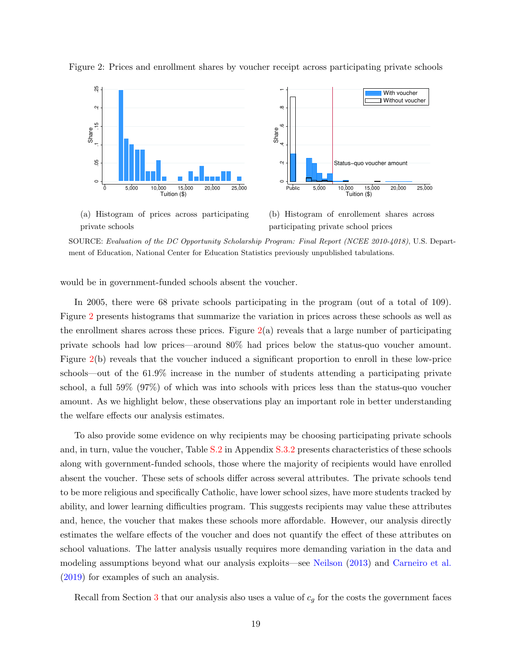

<span id="page-19-0"></span>Figure 2: Prices and enrollment shares by voucher receipt across participating private schools

(a) Histogram of prices across participating private schools

(b) Histogram of enrollement shares across participating private school prices

SOURCE: Evaluation of the DC Opportunity Scholarship Program: Final Report (NCEE 2010-4018), U.S. Department of Education, National Center for Education Statistics previously unpublished tabulations.

would be in government-funded schools absent the voucher.

In 2005, there were 68 private schools participating in the program (out of a total of 109). Figure [2](#page-19-0) presents histograms that summarize the variation in prices across these schools as well as the enrollment shares across these prices. Figure  $2(a)$  $2(a)$  reveals that a large number of participating private schools had low prices—around 80% had prices below the status-quo voucher amount. Figure [2\(](#page-19-0)b) reveals that the voucher induced a significant proportion to enroll in these low-price schools—out of the 61.9% increase in the number of students attending a participating private school, a full 59% (97%) of which was into schools with prices less than the status-quo voucher amount. As we highlight below, these observations play an important role in better understanding the welfare effects our analysis estimates.

To also provide some evidence on why recipients may be choosing participating private schools and, in turn, value the voucher, Table [S.2](#page-18-0) in Appendix [S.3.2](#page-0-0) presents characteristics of these schools along with government-funded schools, those where the majority of recipients would have enrolled absent the voucher. These sets of schools differ across several attributes. The private schools tend to be more religious and specifically Catholic, have lower school sizes, have more students tracked by ability, and lower learning difficulties program. This suggests recipients may value these attributes and, hence, the voucher that makes these schools more affordable. However, our analysis directly estimates the welfare effects of the voucher and does not quantify the effect of these attributes on school valuations. The latter analysis usually requires more demanding variation in the data and modeling assumptions beyond what our analysis exploits—see [Neilson](#page-28-4) [\(2013\)](#page-28-4) and [Carneiro et al.](#page-27-7) [\(2019\)](#page-27-7) for examples of such an analysis.

Recall from Section [3](#page-7-0) that our analysis also uses a value of  $c_q$  for the costs the government faces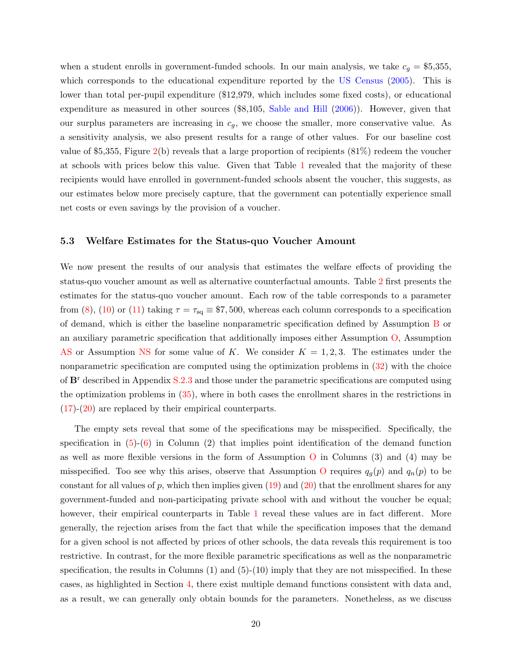when a student enrolls in government-funded schools. In our main analysis, we take  $c_g = $5,355$ , which corresponds to the educational expenditure reported by the [US Census](#page-28-9) [\(2005\)](#page-28-9). This is lower than total per-pupil expenditure (\$12,979, which includes some fixed costs), or educational expenditure as measured in other sources (\$8,105, [Sable and Hill](#page-28-10) [\(2006\)](#page-28-10)). However, given that our surplus parameters are increasing in  $c_g$ , we choose the smaller, more conservative value. As a sensitivity analysis, we also present results for a range of other values. For our baseline cost value of \$5,355, Figure  $2(b)$  $2(b)$  reveals that a large proportion of recipients  $(81\%)$  redeem the voucher at schools with prices below this value. Given that Table [1](#page-18-0) revealed that the majority of these recipients would have enrolled in government-funded schools absent the voucher, this suggests, as our estimates below more precisely capture, that the government can potentially experience small net costs or even savings by the provision of a voucher.

### 5.3 Welfare Estimates for the Status-quo Voucher Amount

We now present the results of our analysis that estimates the welfare effects of providing the status-quo voucher amount as well as alternative counterfactual amounts. Table [2](#page-21-0) first presents the estimates for the status-quo voucher amount. Each row of the table corresponds to a parameter from [\(8\)](#page-7-2), [\(10\)](#page-8-0) or [\(11\)](#page-8-1) taking  $\tau = \tau_{\text{sq}} \equiv \$7,500$ , whereas each column corresponds to a specification of demand, which is either the baseline nonparametric specification defined by Assumption [B](#page-5-0) or an auxiliary parametric specification that additionally imposes either Assumption [O,](#page-15-2) Assumption [AS](#page-15-3) or Assumption [NS](#page-16-0) for some value of K. We consider  $K = 1, 2, 3$ . The estimates under the nonparametric specification are computed using the optimization problems in [\(32\)](#page-14-0) with the choice of  $\mathbf{B}^r$  described in Appendix [S.2.3](#page-0-0) and those under the parametric specifications are computed using the optimization problems in [\(35\)](#page-15-4), where in both cases the enrollment shares in the restrictions in  $(17)-(20)$  $(17)-(20)$  $(17)-(20)$  are replaced by their empirical counterparts.

The empty sets reveal that some of the specifications may be misspecified. Specifically, the specification in  $(5)-(6)$  $(5)-(6)$  $(5)-(6)$  in Column  $(2)$  that implies point identification of the demand function as well as more flexible versions in the form of Assumption [O](#page-15-2) in Columns (3) and (4) may be misspecified. Too see why this arises, observe that Assumption [O](#page-15-2) requires  $q_g(p)$  and  $q_n(p)$  to be constant for all values of p, which then implies given  $(19)$  and  $(20)$  that the enrollment shares for any government-funded and non-participating private school with and without the voucher be equal; however, their empirical counterparts in Table [1](#page-18-0) reveal these values are in fact different. More generally, the rejection arises from the fact that while the specification imposes that the demand for a given school is not affected by prices of other schools, the data reveals this requirement is too restrictive. In contrast, for the more flexible parametric specifications as well as the nonparametric specification, the results in Columns  $(1)$  and  $(5)-(10)$  imply that they are not misspecified. In these cases, as highlighted in Section [4,](#page-9-0) there exist multiple demand functions consistent with data and, as a result, we can generally only obtain bounds for the parameters. Nonetheless, as we discuss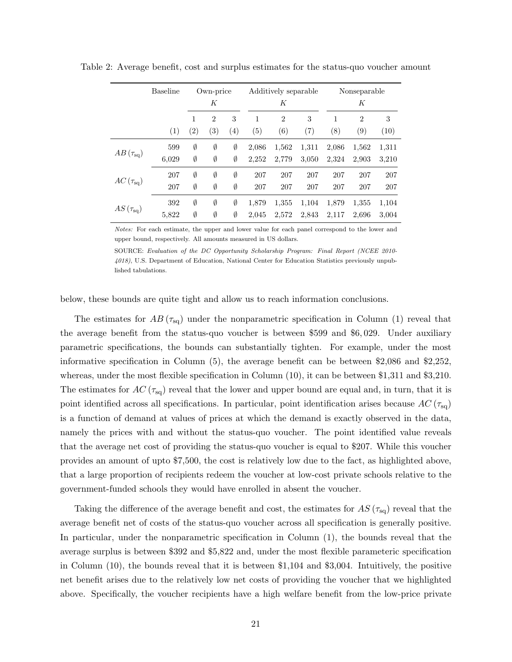|                                   | <b>Baseline</b> | Own-price<br>K      |                                     |          | Additively separable<br>Κ |                       | Nonseparable<br>К |          |                       |           |
|-----------------------------------|-----------------|---------------------|-------------------------------------|----------|---------------------------|-----------------------|-------------------|----------|-----------------------|-----------|
|                                   | (1)             | $\mathbf{1}$<br>(2) | $\mathfrak{2}$<br>$\left( 3\right)$ | 3<br>(4) | 1<br>(5)                  | $\overline{2}$<br>(6) | 3<br>(7)          | 1<br>(8) | $\overline{2}$<br>(9) | 3<br>(10) |
| $AB(\tau_{\text{sq}})$            | 599             | Ø                   | Ø                                   | Ø        | 2,086                     | 1,562                 | 1,311             | 2,086    | 1,562                 | 1,311     |
|                                   | 6,029           | Ø                   | Ø                                   | Ø        | 2,252                     | 2,779                 | 3,050             | 2,324    | 2.903                 | 3,210     |
| $AC(\tau_{\text{sq}})$            | 207             | Ø                   | Ø                                   | Ø        | 207                       | 207                   | 207               | 207      | 207                   | 207       |
|                                   | 207             | Ø                   | Ø                                   | Ø        | 207                       | 207                   | 207               | 207      | 207                   | 207       |
| $AS\left(\tau_{\text{sq}}\right)$ | 392             | Ø                   | Ø                                   | Ø        | 1,879                     | 1,355                 | 1,104             | 1,879    | 1,355                 | 1,104     |
|                                   | 5,822           | Ø                   | Ø                                   | Ø        | 2,045                     | 2,572                 | 2,843             | 2,117    | 2,696                 | 3,004     |

<span id="page-21-0"></span>Table 2: Average benefit, cost and surplus estimates for the status-quo voucher amount

Notes: For each estimate, the upper and lower value for each panel correspond to the lower and upper bound, respectively. All amounts measured in US dollars.

SOURCE: Evaluation of the DC Opportunity Scholarship Program: Final Report (NCEE 2010- 4018), U.S. Department of Education, National Center for Education Statistics previously unpublished tabulations.

below, these bounds are quite tight and allow us to reach information conclusions.

The estimates for  $AB(\tau_{sq})$  under the nonparametric specification in Column (1) reveal that the average benefit from the status-quo voucher is between \$599 and \$6, 029. Under auxiliary parametric specifications, the bounds can substantially tighten. For example, under the most informative specification in Column (5), the average benefit can be between \$2,086 and \$2,252, whereas, under the most flexible specification in Column (10), it can be between \$1,311 and \$3,210. The estimates for  $AC(\tau_{sq})$  reveal that the lower and upper bound are equal and, in turn, that it is point identified across all specifications. In particular, point identification arises because  $AC(\tau_{sq})$ is a function of demand at values of prices at which the demand is exactly observed in the data, namely the prices with and without the status-quo voucher. The point identified value reveals that the average net cost of providing the status-quo voucher is equal to \$207. While this voucher provides an amount of upto \$7,500, the cost is relatively low due to the fact, as highlighted above, that a large proportion of recipients redeem the voucher at low-cost private schools relative to the government-funded schools they would have enrolled in absent the voucher.

Taking the difference of the average benefit and cost, the estimates for  $AS(\tau_{sq})$  reveal that the average benefit net of costs of the status-quo voucher across all specification is generally positive. In particular, under the nonparametric specification in Column (1), the bounds reveal that the average surplus is between \$392 and \$5,822 and, under the most flexible parameteric specification in Column (10), the bounds reveal that it is between \$1,104 and \$3,004. Intuitively, the positive net benefit arises due to the relatively low net costs of providing the voucher that we highlighted above. Specifically, the voucher recipients have a high welfare benefit from the low-price private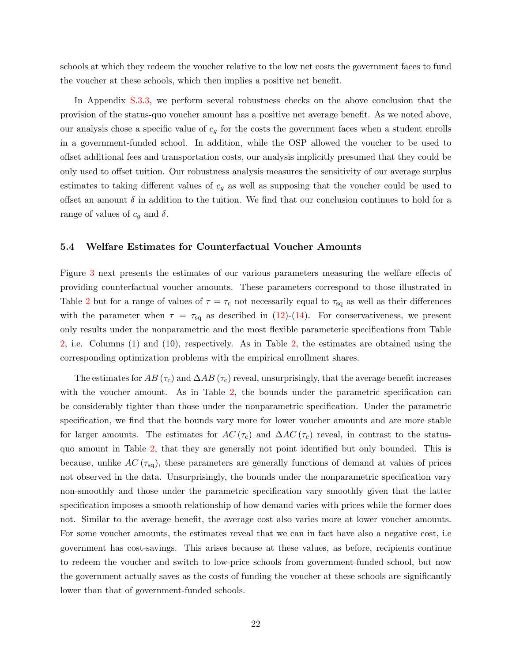schools at which they redeem the voucher relative to the low net costs the government faces to fund the voucher at these schools, which then implies a positive net benefit.

In Appendix [S.3.3,](#page-0-0) we perform several robustness checks on the above conclusion that the provision of the status-quo voucher amount has a positive net average benefit. As we noted above, our analysis chose a specific value of  $c<sub>g</sub>$  for the costs the government faces when a student enrolls in a government-funded school. In addition, while the OSP allowed the voucher to be used to offset additional fees and transportation costs, our analysis implicitly presumed that they could be only used to offset tuition. Our robustness analysis measures the sensitivity of our average surplus estimates to taking different values of  $c<sub>q</sub>$  as well as supposing that the voucher could be used to offset an amount  $\delta$  in addition to the tuition. We find that our conclusion continues to hold for a range of values of  $c_g$  and  $\delta$ .

#### 5.4 Welfare Estimates for Counterfactual Voucher Amounts

Figure [3](#page-23-0) next presents the estimates of our various parameters measuring the welfare effects of providing counterfactual voucher amounts. These parameters correspond to those illustrated in Table [2](#page-21-0) but for a range of values of  $\tau = \tau_c$  not necessarily equal to  $\tau_{sq}$  as well as their differences with the parameter when  $\tau = \tau_{\text{sq}}$  as described in [\(12\)](#page-9-4)-[\(14\)](#page-9-5). For conservativeness, we present only results under the nonparametric and the most flexible parameteric specifications from Table [2,](#page-21-0) i.e. Columns (1) and (10), respectively. As in Table [2,](#page-21-0) the estimates are obtained using the corresponding optimization problems with the empirical enrollment shares.

The estimates for  $AB\left(\tau_c\right)$  and  $\Delta AB\left(\tau_c\right)$  reveal, unsurprisingly, that the average benefit increases with the voucher amount. As in Table [2,](#page-21-0) the bounds under the parametric specification can be considerably tighter than those under the nonparametric specification. Under the parametric specification, we find that the bounds vary more for lower voucher amounts and are more stable for larger amounts. The estimates for  $AC(\tau_c)$  and  $\Delta AC(\tau_c)$  reveal, in contrast to the statusquo amount in Table [2,](#page-21-0) that they are generally not point identified but only bounded. This is because, unlike  $AC(\tau_{sq})$ , these parameters are generally functions of demand at values of prices not observed in the data. Unsurprisingly, the bounds under the nonparametric specification vary non-smoothly and those under the parametric specification vary smoothly given that the latter specification imposes a smooth relationship of how demand varies with prices while the former does not. Similar to the average benefit, the average cost also varies more at lower voucher amounts. For some voucher amounts, the estimates reveal that we can in fact have also a negative cost, i.e. government has cost-savings. This arises because at these values, as before, recipients continue to redeem the voucher and switch to low-price schools from government-funded school, but now the government actually saves as the costs of funding the voucher at these schools are significantly lower than that of government-funded schools.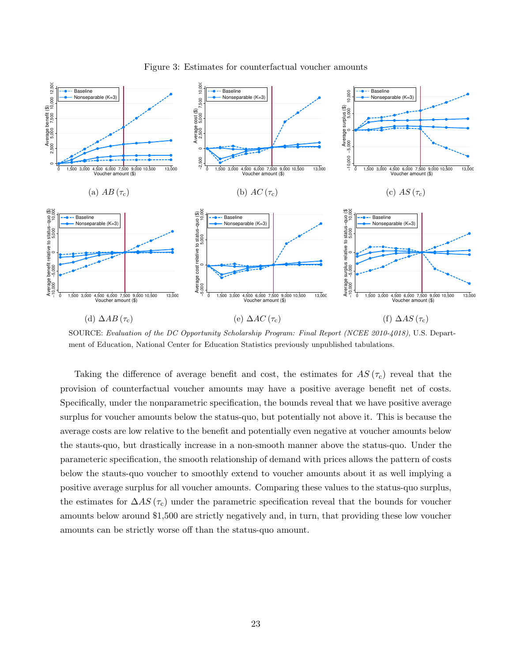<span id="page-23-0"></span>

Figure 3: Estimates for counterfactual voucher amounts

SOURCE: Evaluation of the DC Opportunity Scholarship Program: Final Report (NCEE 2010-4018), U.S. Department of Education, National Center for Education Statistics previously unpublished tabulations.

Taking the difference of average benefit and cost, the estimates for  $AS(\tau_c)$  reveal that the provision of counterfactual voucher amounts may have a positive average benefit net of costs. Specifically, under the nonparametric specification, the bounds reveal that we have positive average surplus for voucher amounts below the status-quo, but potentially not above it. This is because the average costs are low relative to the benefit and potentially even negative at voucher amounts below the stauts-quo, but drastically increase in a non-smooth manner above the status-quo. Under the parameteric specification, the smooth relationship of demand with prices allows the pattern of costs below the stauts-quo voucher to smoothly extend to voucher amounts about it as well implying a positive average surplus for all voucher amounts. Comparing these values to the status-quo surplus, the estimates for  $\Delta AS$  ( $\tau_c$ ) under the parametric specification reveal that the bounds for voucher amounts below around \$1,500 are strictly negatively and, in turn, that providing these low voucher amounts can be strictly worse off than the status-quo amount.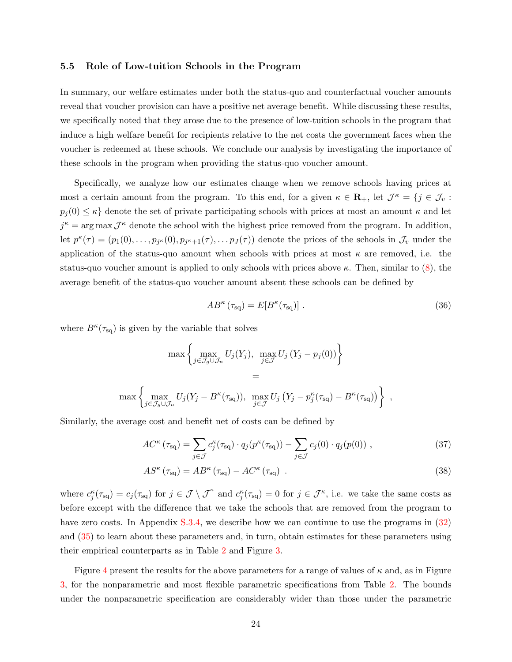### 5.5 Role of Low-tuition Schools in the Program

In summary, our welfare estimates under both the status-quo and counterfactual voucher amounts reveal that voucher provision can have a positive net average benefit. While discussing these results, we specifically noted that they arose due to the presence of low-tuition schools in the program that induce a high welfare benefit for recipients relative to the net costs the government faces when the voucher is redeemed at these schools. We conclude our analysis by investigating the importance of these schools in the program when providing the status-quo voucher amount.

Specifically, we analyze how our estimates change when we remove schools having prices at most a certain amount from the program. To this end, for a given  $\kappa \in \mathbf{R}_+$ , let  $\mathcal{J}^{\kappa} = \{j \in \mathcal{J}_v :$  $p_i(0) \leq \kappa$  denote the set of private participating schools with prices at most an amount  $\kappa$  and let  $j^{\kappa} = \arg \max \mathcal{J}^{\kappa}$  denote the school with the highest price removed from the program. In addition, let  $p^{\kappa}(\tau) = (p_1(0), \ldots, p_{j^{\kappa}}(0), p_{j^{\kappa}+1}(\tau), \ldots, p_{J}(\tau))$  denote the prices of the schools in  $\mathcal{J}_v$  under the application of the status-quo amount when schools with prices at most  $\kappa$  are removed, i.e. the status-quo voucher amount is applied to only schools with prices above  $\kappa$ . Then, similar to [\(8\)](#page-7-2), the average benefit of the status-quo voucher amount absent these schools can be defined by

$$
AB^{\kappa}(\tau_{\text{sq}}) = E[B^{\kappa}(\tau_{\text{sq}})] \tag{36}
$$

,

where  $B^{\kappa}(\tau_{\text{sq}})$  is given by the variable that solves

$$
\max \left\{ \max_{j \in \mathcal{J}_g \cup \mathcal{J}_n} U_j(Y_j), \max_{j \in \mathcal{J}} U_j(Y_j - p_j(0)) \right\}
$$
  
=  

$$
\max \left\{ \max_{j \in \mathcal{J}_g \cup \mathcal{J}_n} U_j(Y_j - B^{\kappa}(\tau_{sq})), \max_{j \in \mathcal{J}} U_j(Y_j - p_j^{\kappa}(\tau_{sq}) - B^{\kappa}(\tau_{sq})) \right\}
$$

Similarly, the average cost and benefit net of costs can be defined by

$$
AC^{\kappa}(\tau_{\text{sq}}) = \sum_{j \in \mathcal{J}} c_j^{\kappa}(\tau_{\text{sq}}) \cdot q_j(p^{\kappa}(\tau_{\text{sq}})) - \sum_{j \in \mathcal{J}} c_j(0) \cdot q_j(p(0)), \qquad (37)
$$

$$
AS^{\kappa}(\tau_{\text{sq}}) = AB^{\kappa}(\tau_{\text{sq}}) - AC^{\kappa}(\tau_{\text{sq}}) \tag{38}
$$

where  $c_j^{\kappa}(\tau_{\text{sq}}) = c_j(\tau_{\text{sq}})$  for  $j \in \mathcal{J} \setminus \mathcal{J}^{\kappa}$  and  $c_j^{\kappa}(\tau_{\text{sq}}) = 0$  for  $j \in \mathcal{J}^{\kappa}$ , i.e. we take the same costs as before except with the difference that we take the schools that are removed from the program to have zero costs. In Appendix [S.3.4,](#page-0-0) we describe how we can continue to use the programs in [\(32\)](#page-14-0) and [\(35\)](#page-15-4) to learn about these parameters and, in turn, obtain estimates for these parameters using their empirical counterparts as in Table [2](#page-21-0) and Figure [3.](#page-23-0)

Figure [4](#page-25-1) present the results for the above parameters for a range of values of  $\kappa$  and, as in Figure [3,](#page-23-0) for the nonparametric and most flexible parametric specifications from Table [2.](#page-21-0) The bounds under the nonparametric specification are considerably wider than those under the parametric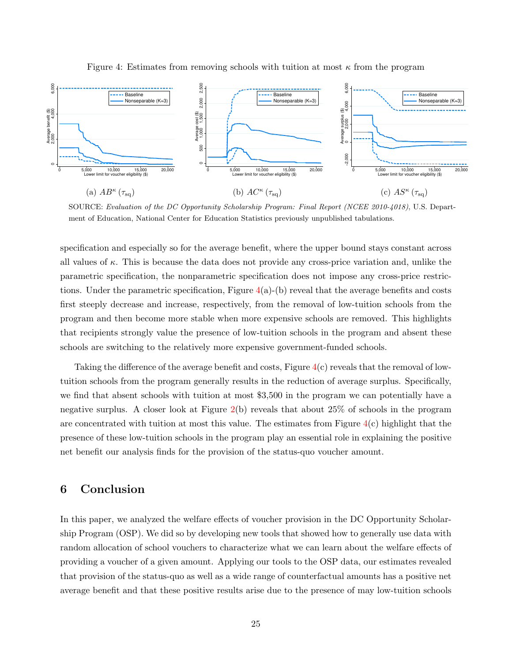<span id="page-25-1"></span>



SOURCE: Evaluation of the DC Opportunity Scholarship Program: Final Report (NCEE 2010-4018), U.S. Department of Education, National Center for Education Statistics previously unpublished tabulations.

specification and especially so for the average benefit, where the upper bound stays constant across all values of  $\kappa$ . This is because the data does not provide any cross-price variation and, unlike the parametric specification, the nonparametric specification does not impose any cross-price restrictions. Under the parametric specification, Figure  $4(a)$  $4(a)$ -(b) reveal that the average benefits and costs first steeply decrease and increase, respectively, from the removal of low-tuition schools from the program and then become more stable when more expensive schools are removed. This highlights that recipients strongly value the presence of low-tuition schools in the program and absent these schools are switching to the relatively more expensive government-funded schools.

Taking the difference of the average benefit and costs, Figure [4\(](#page-25-1)c) reveals that the removal of lowtuition schools from the program generally results in the reduction of average surplus. Specifically, we find that absent schools with tuition at most \$3,500 in the program we can potentially have a negative surplus. A closer look at Figure  $2(b)$  $2(b)$  reveals that about  $25\%$  of schools in the program are concentrated with tuition at most this value. The estimates from Figure  $4(c)$  $4(c)$  highlight that the presence of these low-tuition schools in the program play an essential role in explaining the positive net benefit our analysis finds for the provision of the status-quo voucher amount.

# <span id="page-25-0"></span>6 Conclusion

In this paper, we analyzed the welfare effects of voucher provision in the DC Opportunity Scholarship Program (OSP). We did so by developing new tools that showed how to generally use data with random allocation of school vouchers to characterize what we can learn about the welfare effects of providing a voucher of a given amount. Applying our tools to the OSP data, our estimates revealed that provision of the status-quo as well as a wide range of counterfactual amounts has a positive net average benefit and that these positive results arise due to the presence of may low-tuition schools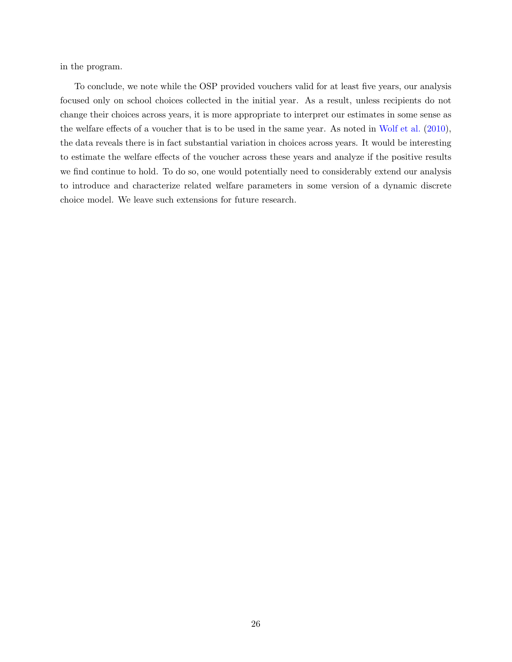in the program.

To conclude, we note while the OSP provided vouchers valid for at least five years, our analysis focused only on school choices collected in the initial year. As a result, unless recipients do not change their choices across years, it is more appropriate to interpret our estimates in some sense as the welfare effects of a voucher that is to be used in the same year. As noted in [Wolf et al.](#page-28-3) [\(2010\)](#page-28-3), the data reveals there is in fact substantial variation in choices across years. It would be interesting to estimate the welfare effects of the voucher across these years and analyze if the positive results we find continue to hold. To do so, one would potentially need to considerably extend our analysis to introduce and characterize related welfare parameters in some version of a dynamic discrete choice model. We leave such extensions for future research.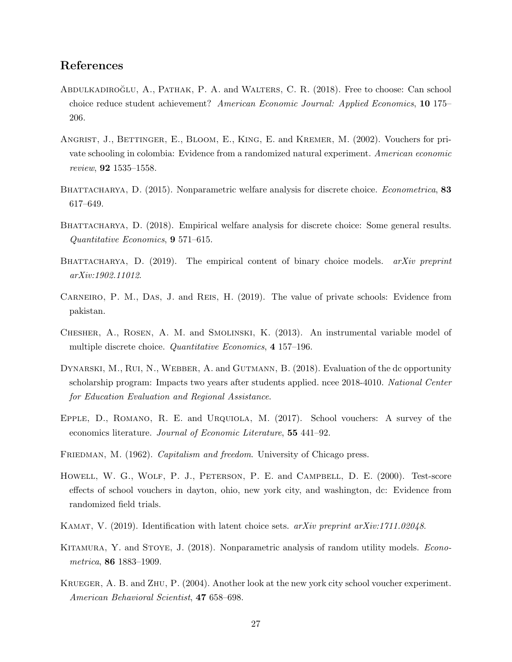# References

- <span id="page-27-1"></span>ABDULKADIROĞLU, A., PATHAK, P. A. and WALTERS, C. R. (2018). Free to choose: Can school choice reduce student achievement? American Economic Journal: Applied Economics, 10 175– 206.
- <span id="page-27-2"></span>ANGRIST, J., BETTINGER, E., BLOOM, E., KING, E. and KREMER, M. (2002). Vouchers for private schooling in colombia: Evidence from a randomized natural experiment. American economic review, 92 1535–1558.
- <span id="page-27-8"></span>BHATTACHARYA, D. (2015). Nonparametric welfare analysis for discrete choice. *Econometrica*, 83 617–649.
- <span id="page-27-9"></span>BHATTACHARYA, D. (2018). Empirical welfare analysis for discrete choice: Some general results. Quantitative Economics, 9 571–615.
- <span id="page-27-10"></span>BHATTACHARYA, D.  $(2019)$ . The empirical content of binary choice models. *arXiv preprint* arXiv:1902.11012.
- <span id="page-27-7"></span>Carneiro, P. M., Das, J. and Reis, H. (2019). The value of private schools: Evidence from pakistan.
- <span id="page-27-11"></span>Chesher, A., Rosen, A. M. and Smolinski, K. (2013). An instrumental variable model of multiple discrete choice. Quantitative Economics, 4 157–196.
- <span id="page-27-3"></span>DYNARSKI, M., RUI, N., WEBBER, A. and GUTMANN, B. (2018). Evaluation of the dc opportunity scholarship program: Impacts two years after students applied. ncee 2018-4010. National Center for Education Evaluation and Regional Assistance.
- <span id="page-27-6"></span>Epple, D., Romano, R. E. and Urquiola, M. (2017). School vouchers: A survey of the economics literature. Journal of Economic Literature, 55 441–92.
- <span id="page-27-0"></span>FRIEDMAN, M. (1962). Capitalism and freedom. University of Chicago press.
- <span id="page-27-4"></span>Howell, W. G., Wolf, P. J., Peterson, P. E. and Campbell, D. E. (2000). Test-score effects of school vouchers in dayton, ohio, new york city, and washington, dc: Evidence from randomized field trials.
- <span id="page-27-12"></span>KAMAT, V. (2019). Identification with latent choice sets. arXiv preprint arXiv:1711.02048.
- <span id="page-27-13"></span>KITAMURA, Y. and STOYE, J. (2018). Nonparametric analysis of random utility models. *Econo*metrica, 86 1883–1909.
- <span id="page-27-5"></span>Krueger, A. B. and Zhu, P. (2004). Another look at the new york city school voucher experiment. American Behavioral Scientist, 47 658–698.